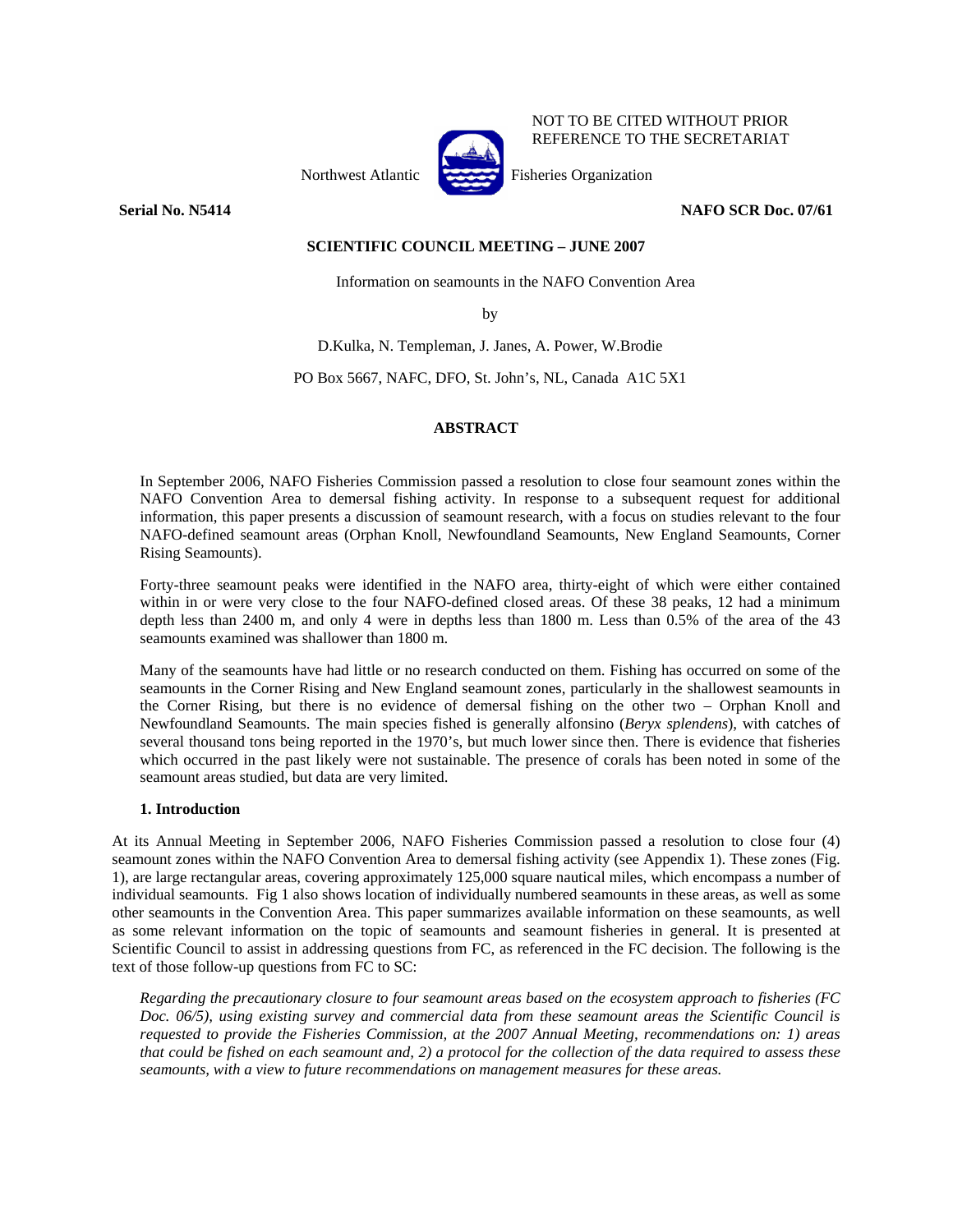

NOT TO BE CITED WITHOUT PRIOR REFERENCE TO THE SECRETARIAT

Northwest Atlantic Fisheries Organization

**Serial No. N5414** NAFO SCR Doc. 07/61

### **SCIENTIFIC COUNCIL MEETING – JUNE 2007**

Information on seamounts in the NAFO Convention Area

by

D.Kulka, N. Templeman, J. Janes, A. Power, W.Brodie

PO Box 5667, NAFC, DFO, St. John's, NL, Canada A1C 5X1

# **ABSTRACT**

In September 2006, NAFO Fisheries Commission passed a resolution to close four seamount zones within the NAFO Convention Area to demersal fishing activity. In response to a subsequent request for additional information, this paper presents a discussion of seamount research, with a focus on studies relevant to the four NAFO-defined seamount areas (Orphan Knoll, Newfoundland Seamounts, New England Seamounts, Corner Rising Seamounts).

Forty-three seamount peaks were identified in the NAFO area, thirty-eight of which were either contained within in or were very close to the four NAFO-defined closed areas. Of these 38 peaks, 12 had a minimum depth less than 2400 m, and only 4 were in depths less than 1800 m. Less than 0.5% of the area of the 43 seamounts examined was shallower than 1800 m.

Many of the seamounts have had little or no research conducted on them. Fishing has occurred on some of the seamounts in the Corner Rising and New England seamount zones, particularly in the shallowest seamounts in the Corner Rising, but there is no evidence of demersal fishing on the other two – Orphan Knoll and Newfoundland Seamounts. The main species fished is generally alfonsino (*Beryx splendens*), with catches of several thousand tons being reported in the 1970's, but much lower since then. There is evidence that fisheries which occurred in the past likely were not sustainable. The presence of corals has been noted in some of the seamount areas studied, but data are very limited.

# **1. Introduction**

At its Annual Meeting in September 2006, NAFO Fisheries Commission passed a resolution to close four (4) seamount zones within the NAFO Convention Area to demersal fishing activity (see Appendix 1). These zones (Fig. 1), are large rectangular areas, covering approximately 125,000 square nautical miles, which encompass a number of individual seamounts. Fig 1 also shows location of individually numbered seamounts in these areas, as well as some other seamounts in the Convention Area. This paper summarizes available information on these seamounts, as well as some relevant information on the topic of seamounts and seamount fisheries in general. It is presented at Scientific Council to assist in addressing questions from FC, as referenced in the FC decision. The following is the text of those follow-up questions from FC to SC:

*Regarding the precautionary closure to four seamount areas based on the ecosystem approach to fisheries (FC Doc. 06/5), using existing survey and commercial data from these seamount areas the Scientific Council is requested to provide the Fisheries Commission, at the 2007 Annual Meeting, recommendations on: 1) areas that could be fished on each seamount and, 2) a protocol for the collection of the data required to assess these seamounts, with a view to future recommendations on management measures for these areas.*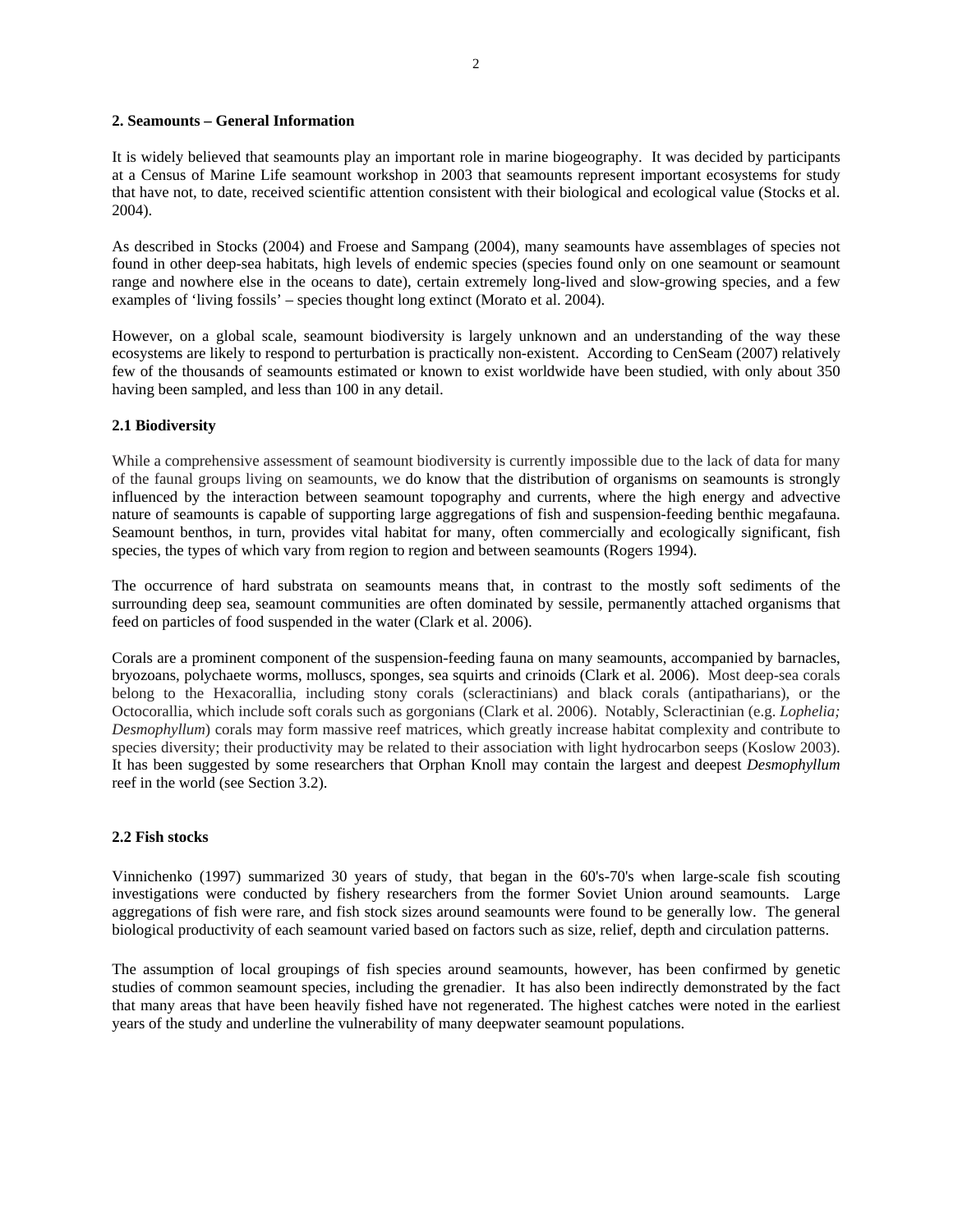### **2. Seamounts – General Information**

It is widely believed that seamounts play an important role in marine biogeography. It was decided by participants at a Census of Marine Life seamount workshop in 2003 that seamounts represent important ecosystems for study that have not, to date, received scientific attention consistent with their biological and ecological value (Stocks et al. 2004).

As described in Stocks (2004) and Froese and Sampang (2004), many seamounts have assemblages of species not found in other deep-sea habitats, high levels of endemic species (species found only on one seamount or seamount range and nowhere else in the oceans to date), certain extremely long-lived and slow-growing species, and a few examples of 'living fossils' – species thought long extinct (Morato et al. 2004).

However, on a global scale, seamount biodiversity is largely unknown and an understanding of the way these ecosystems are likely to respond to perturbation is practically non-existent. According to CenSeam (2007) relatively few of the thousands of seamounts estimated or known to exist worldwide have been studied, with only about 350 having been sampled, and less than 100 in any detail.

#### **2.1 Biodiversity**

While a comprehensive assessment of seamount biodiversity is currently impossible due to the lack of data for many of the faunal groups living on seamounts, we do know that the distribution of organisms on seamounts is strongly influenced by the interaction between seamount topography and currents, where the high energy and advective nature of seamounts is capable of supporting large aggregations of fish and suspension-feeding benthic megafauna. Seamount benthos, in turn, provides vital habitat for many, often commercially and ecologically significant, fish species, the types of which vary from region to region and between seamounts (Rogers 1994).

The occurrence of hard substrata on seamounts means that, in contrast to the mostly soft sediments of the surrounding deep sea, seamount communities are often dominated by sessile, permanently attached organisms that feed on particles of food suspended in the water (Clark et al. 2006).

Corals are a prominent component of the suspension-feeding fauna on many seamounts, accompanied by barnacles, bryozoans, polychaete worms, molluscs, sponges, sea squirts and crinoids (Clark et al. 2006). Most deep-sea corals belong to the Hexacorallia, including stony corals (scleractinians) and black corals (antipatharians), or the Octocorallia, which include soft corals such as gorgonians (Clark et al. 2006). Notably, Scleractinian (e.g. *Lophelia; Desmophyllum*) corals may form massive reef matrices, which greatly increase habitat complexity and contribute to species diversity; their productivity may be related to their association with light hydrocarbon seeps (Koslow 2003). It has been suggested by some researchers that Orphan Knoll may contain the largest and deepest *Desmophyllum* reef in the world (see Section 3.2).

#### **2.2 Fish stocks**

Vinnichenko (1997) summarized 30 years of study, that began in the 60's-70's when large-scale fish scouting investigations were conducted by fishery researchers from the former Soviet Union around seamounts. Large aggregations of fish were rare, and fish stock sizes around seamounts were found to be generally low. The general biological productivity of each seamount varied based on factors such as size, relief, depth and circulation patterns.

The assumption of local groupings of fish species around seamounts, however, has been confirmed by genetic studies of common seamount species, including the grenadier. It has also been indirectly demonstrated by the fact that many areas that have been heavily fished have not regenerated. The highest catches were noted in the earliest years of the study and underline the vulnerability of many deepwater seamount populations.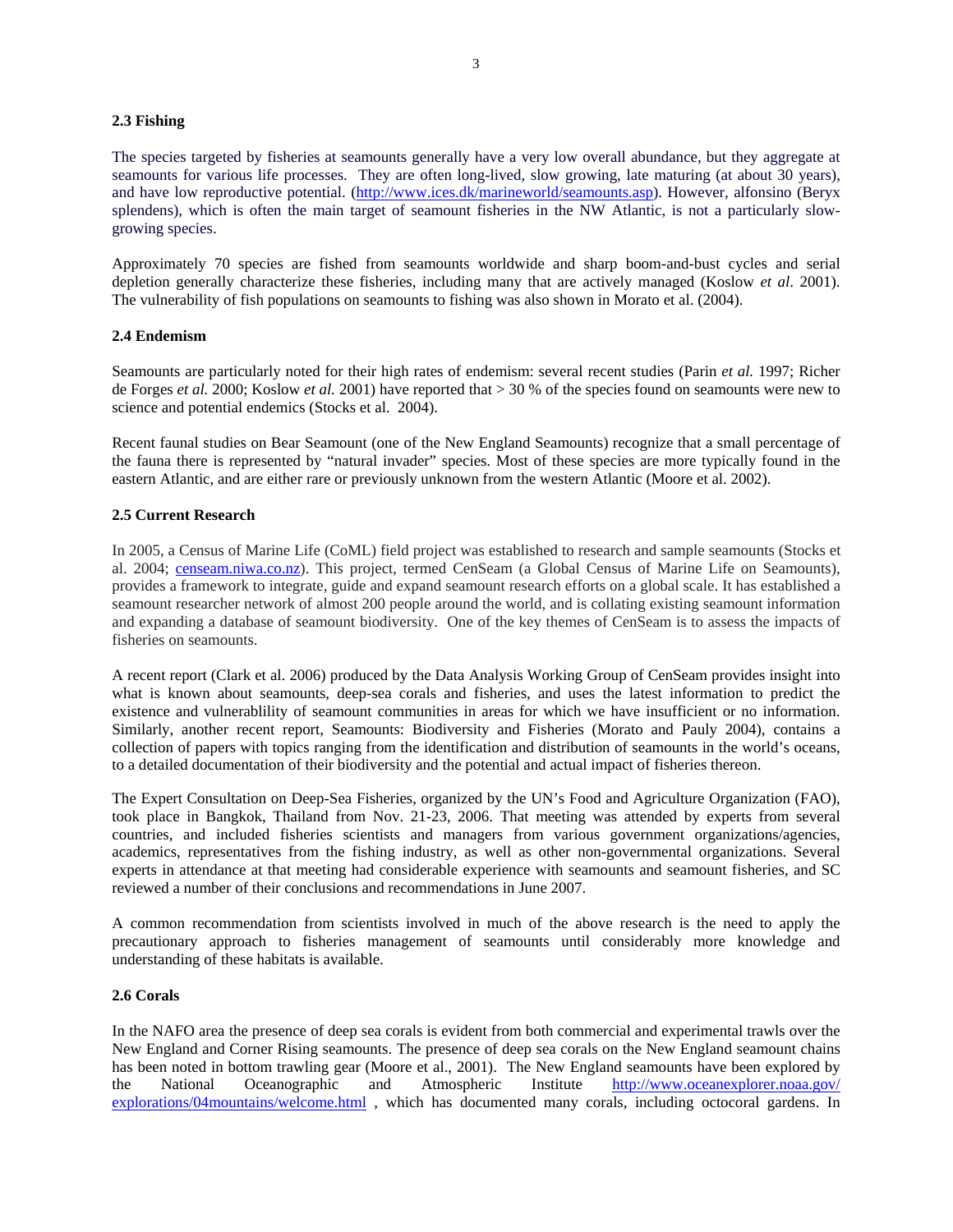### **2.3 Fishing**

The species targeted by fisheries at seamounts generally have a very low overall abundance, but they aggregate at seamounts for various life processes. They are often long-lived, slow growing, late maturing (at about 30 years), and have low reproductive potential. (http://www.ices.dk/marineworld/seamounts.asp). However, alfonsino (Beryx splendens), which is often the main target of seamount fisheries in the NW Atlantic, is not a particularly slowgrowing species.

Approximately 70 species are fished from seamounts worldwide and sharp boom-and-bust cycles and serial depletion generally characterize these fisheries, including many that are actively managed (Koslow *et al*. 2001). The vulnerability of fish populations on seamounts to fishing was also shown in Morato et al. (2004).

#### **2.4 Endemism**

Seamounts are particularly noted for their high rates of endemism: several recent studies (Parin *et al.* 1997; Richer de Forges *et al.* 2000; Koslow *et al.* 2001) have reported that > 30 % of the species found on seamounts were new to science and potential endemics (Stocks et al. 2004).

Recent faunal studies on Bear Seamount (one of the New England Seamounts) recognize that a small percentage of the fauna there is represented by "natural invader" species. Most of these species are more typically found in the eastern Atlantic, and are either rare or previously unknown from the western Atlantic (Moore et al. 2002).

# **2.5 Current Research**

In 2005, a Census of Marine Life (CoML) field project was established to research and sample seamounts (Stocks et al. 2004; censeam.niwa.co.nz). This project, termed CenSeam (a Global Census of Marine Life on Seamounts), provides a framework to integrate, guide and expand seamount research efforts on a global scale. It has established a seamount researcher network of almost 200 people around the world, and is collating existing seamount information and expanding a database of seamount biodiversity. One of the key themes of CenSeam is to assess the impacts of fisheries on seamounts.

A recent report (Clark et al. 2006) produced by the Data Analysis Working Group of CenSeam provides insight into what is known about seamounts, deep-sea corals and fisheries, and uses the latest information to predict the existence and vulnerablility of seamount communities in areas for which we have insufficient or no information. Similarly, another recent report, Seamounts: Biodiversity and Fisheries (Morato and Pauly 2004), contains a collection of papers with topics ranging from the identification and distribution of seamounts in the world's oceans, to a detailed documentation of their biodiversity and the potential and actual impact of fisheries thereon.

The Expert Consultation on Deep-Sea Fisheries, organized by the UN's Food and Agriculture Organization (FAO), took place in Bangkok, Thailand from Nov. 21-23, 2006. That meeting was attended by experts from several countries, and included fisheries scientists and managers from various government organizations/agencies, academics, representatives from the fishing industry, as well as other non-governmental organizations. Several experts in attendance at that meeting had considerable experience with seamounts and seamount fisheries, and SC reviewed a number of their conclusions and recommendations in June 2007.

A common recommendation from scientists involved in much of the above research is the need to apply the precautionary approach to fisheries management of seamounts until considerably more knowledge and understanding of these habitats is available.

### **2.6 Corals**

In the NAFO area the presence of deep sea corals is evident from both commercial and experimental trawls over the New England and Corner Rising seamounts. The presence of deep sea corals on the New England seamount chains has been noted in bottom trawling gear (Moore et al., 2001). The New England seamounts have been explored by the National Oceanographic and Atmospheric Institute http://www.oceanexplorer.noaa.gov/ explorations/04mountains/welcome.html , which has documented many corals, including octocoral gardens. In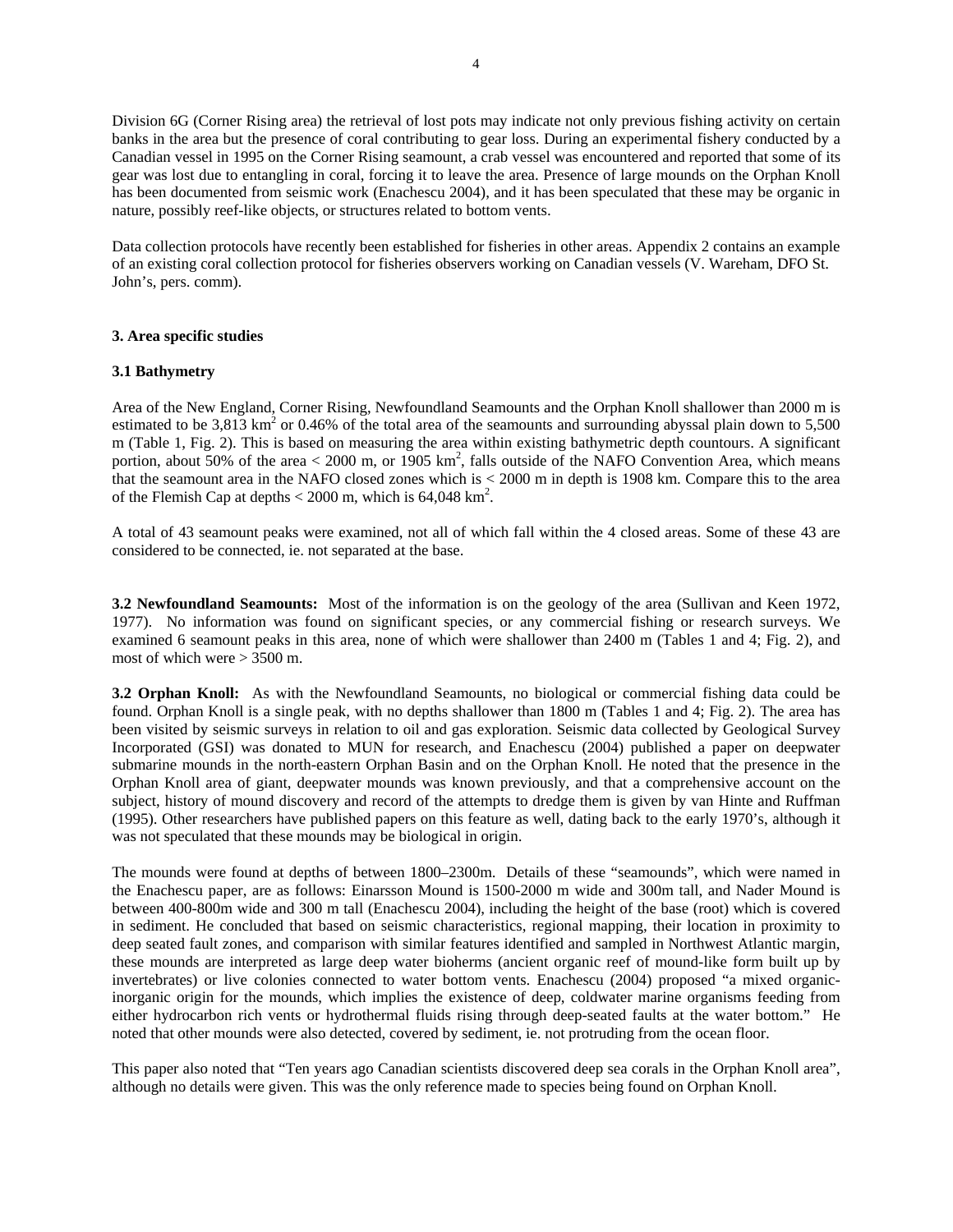Division 6G (Corner Rising area) the retrieval of lost pots may indicate not only previous fishing activity on certain banks in the area but the presence of coral contributing to gear loss. During an experimental fishery conducted by a Canadian vessel in 1995 on the Corner Rising seamount, a crab vessel was encountered and reported that some of its gear was lost due to entangling in coral, forcing it to leave the area. Presence of large mounds on the Orphan Knoll has been documented from seismic work (Enachescu 2004), and it has been speculated that these may be organic in nature, possibly reef-like objects, or structures related to bottom vents.

Data collection protocols have recently been established for fisheries in other areas. Appendix 2 contains an example of an existing coral collection protocol for fisheries observers working on Canadian vessels (V. Wareham, DFO St. John's, pers. comm).

#### **3. Area specific studies**

#### **3.1 Bathymetry**

Area of the New England, Corner Rising, Newfoundland Seamounts and the Orphan Knoll shallower than 2000 m is estimated to be  $3,813 \text{ km}^2$  or 0.46% of the total area of the seamounts and surrounding abyssal plain down to  $5,500$ m (Table 1, Fig. 2). This is based on measuring the area within existing bathymetric depth countours. A significant portion, about 50% of the area  $<$  2000 m, or 1905 km<sup>2</sup>, falls outside of the NAFO Convention Area, which means that the seamount area in the NAFO closed zones which is < 2000 m in depth is 1908 km. Compare this to the area of the Flemish Cap at depths  $<$  2000 m, which is 64,048 km<sup>2</sup>.

A total of 43 seamount peaks were examined, not all of which fall within the 4 closed areas. Some of these 43 are considered to be connected, ie. not separated at the base.

**3.2 Newfoundland Seamounts:** Most of the information is on the geology of the area (Sullivan and Keen 1972, 1977). No information was found on significant species, or any commercial fishing or research surveys. We examined 6 seamount peaks in this area, none of which were shallower than 2400 m (Tables 1 and 4; Fig. 2), and most of which were > 3500 m.

**3.2 Orphan Knoll:** As with the Newfoundland Seamounts, no biological or commercial fishing data could be found. Orphan Knoll is a single peak, with no depths shallower than 1800 m (Tables 1 and 4; Fig. 2). The area has been visited by seismic surveys in relation to oil and gas exploration. Seismic data collected by Geological Survey Incorporated (GSI) was donated to MUN for research, and Enachescu (2004) published a paper on deepwater submarine mounds in the north-eastern Orphan Basin and on the Orphan Knoll. He noted that the presence in the Orphan Knoll area of giant, deepwater mounds was known previously, and that a comprehensive account on the subject, history of mound discovery and record of the attempts to dredge them is given by van Hinte and Ruffman (1995). Other researchers have published papers on this feature as well, dating back to the early 1970's, although it was not speculated that these mounds may be biological in origin.

The mounds were found at depths of between 1800–2300m. Details of these "seamounds", which were named in the Enachescu paper, are as follows: Einarsson Mound is 1500-2000 m wide and 300m tall, and Nader Mound is between 400-800m wide and 300 m tall (Enachescu 2004), including the height of the base (root) which is covered in sediment. He concluded that based on seismic characteristics, regional mapping, their location in proximity to deep seated fault zones, and comparison with similar features identified and sampled in Northwest Atlantic margin, these mounds are interpreted as large deep water bioherms (ancient organic reef of mound-like form built up by invertebrates) or live colonies connected to water bottom vents. Enachescu (2004) proposed "a mixed organicinorganic origin for the mounds, which implies the existence of deep, coldwater marine organisms feeding from either hydrocarbon rich vents or hydrothermal fluids rising through deep-seated faults at the water bottom." He noted that other mounds were also detected, covered by sediment, ie. not protruding from the ocean floor.

This paper also noted that "Ten years ago Canadian scientists discovered deep sea corals in the Orphan Knoll area", although no details were given. This was the only reference made to species being found on Orphan Knoll.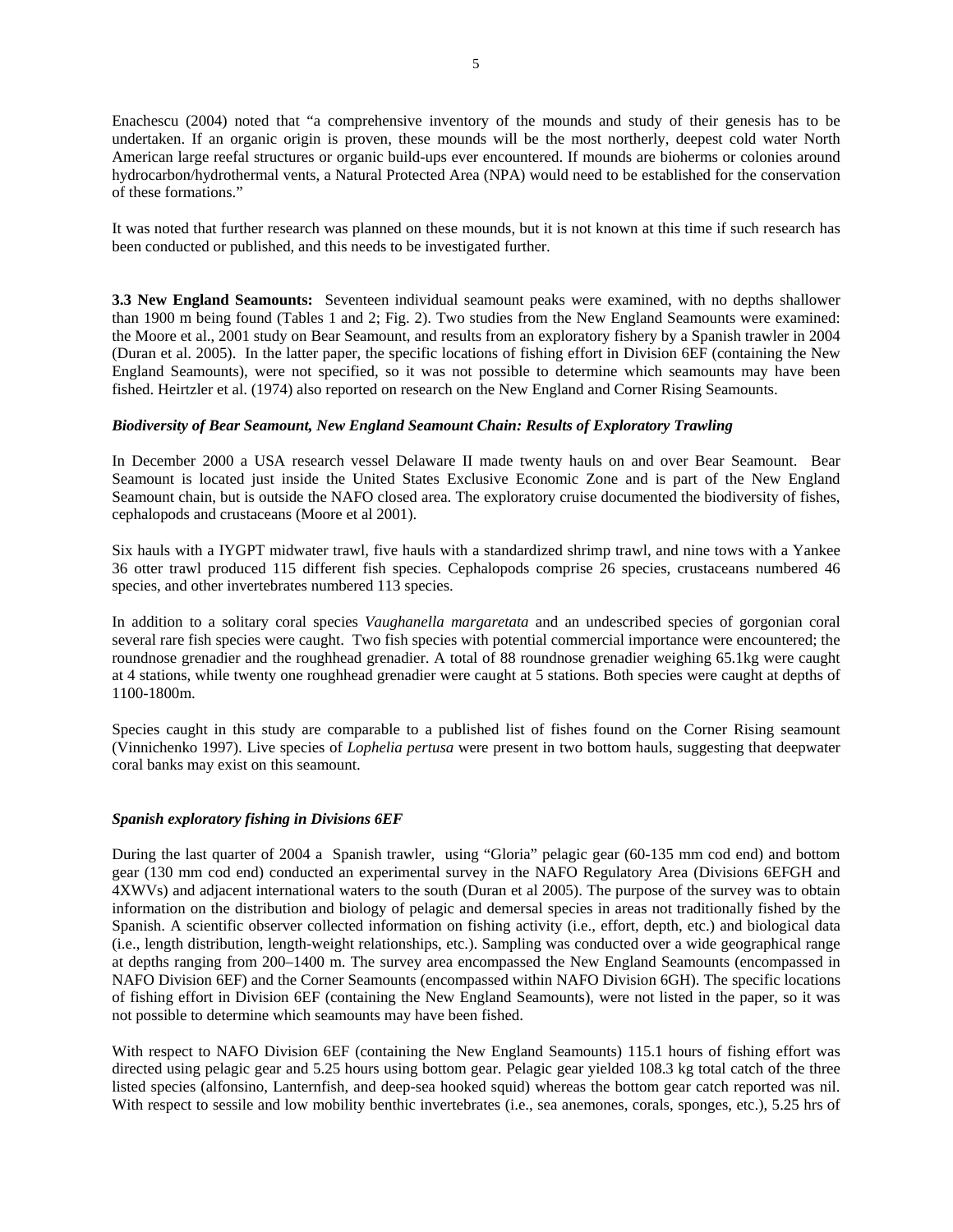Enachescu (2004) noted that "a comprehensive inventory of the mounds and study of their genesis has to be undertaken. If an organic origin is proven, these mounds will be the most northerly, deepest cold water North American large reefal structures or organic build-ups ever encountered. If mounds are bioherms or colonies around hydrocarbon/hydrothermal vents, a Natural Protected Area (NPA) would need to be established for the conservation of these formations."

It was noted that further research was planned on these mounds, but it is not known at this time if such research has been conducted or published, and this needs to be investigated further.

**3.3 New England Seamounts:** Seventeen individual seamount peaks were examined, with no depths shallower than 1900 m being found (Tables 1 and 2; Fig. 2). Two studies from the New England Seamounts were examined: the Moore et al., 2001 study on Bear Seamount, and results from an exploratory fishery by a Spanish trawler in 2004 (Duran et al. 2005). In the latter paper, the specific locations of fishing effort in Division 6EF (containing the New England Seamounts), were not specified, so it was not possible to determine which seamounts may have been fished. Heirtzler et al. (1974) also reported on research on the New England and Corner Rising Seamounts.

#### *Biodiversity of Bear Seamount, New England Seamount Chain: Results of Exploratory Trawling*

In December 2000 a USA research vessel Delaware II made twenty hauls on and over Bear Seamount. Bear Seamount is located just inside the United States Exclusive Economic Zone and is part of the New England Seamount chain, but is outside the NAFO closed area. The exploratory cruise documented the biodiversity of fishes, cephalopods and crustaceans (Moore et al 2001).

Six hauls with a IYGPT midwater trawl, five hauls with a standardized shrimp trawl, and nine tows with a Yankee 36 otter trawl produced 115 different fish species. Cephalopods comprise 26 species, crustaceans numbered 46 species, and other invertebrates numbered 113 species.

In addition to a solitary coral species *Vaughanella margaretata* and an undescribed species of gorgonian coral several rare fish species were caught. Two fish species with potential commercial importance were encountered; the roundnose grenadier and the roughhead grenadier. A total of 88 roundnose grenadier weighing 65.1kg were caught at 4 stations, while twenty one roughhead grenadier were caught at 5 stations. Both species were caught at depths of 1100-1800m.

Species caught in this study are comparable to a published list of fishes found on the Corner Rising seamount (Vinnichenko 1997). Live species of *Lophelia pertusa* were present in two bottom hauls, suggesting that deepwater coral banks may exist on this seamount.

#### *Spanish exploratory fishing in Divisions 6EF*

During the last quarter of 2004 a Spanish trawler, using "Gloria" pelagic gear (60-135 mm cod end) and bottom gear (130 mm cod end) conducted an experimental survey in the NAFO Regulatory Area (Divisions 6EFGH and 4XWVs) and adjacent international waters to the south (Duran et al 2005). The purpose of the survey was to obtain information on the distribution and biology of pelagic and demersal species in areas not traditionally fished by the Spanish. A scientific observer collected information on fishing activity (i.e., effort, depth, etc.) and biological data (i.e., length distribution, length-weight relationships, etc.). Sampling was conducted over a wide geographical range at depths ranging from 200–1400 m. The survey area encompassed the New England Seamounts (encompassed in NAFO Division 6EF) and the Corner Seamounts (encompassed within NAFO Division 6GH). The specific locations of fishing effort in Division 6EF (containing the New England Seamounts), were not listed in the paper, so it was not possible to determine which seamounts may have been fished.

With respect to NAFO Division 6EF (containing the New England Seamounts) 115.1 hours of fishing effort was directed using pelagic gear and 5.25 hours using bottom gear. Pelagic gear yielded 108.3 kg total catch of the three listed species (alfonsino, Lanternfish, and deep-sea hooked squid) whereas the bottom gear catch reported was nil. With respect to sessile and low mobility benthic invertebrates (i.e., sea anemones, corals, sponges, etc.), 5.25 hrs of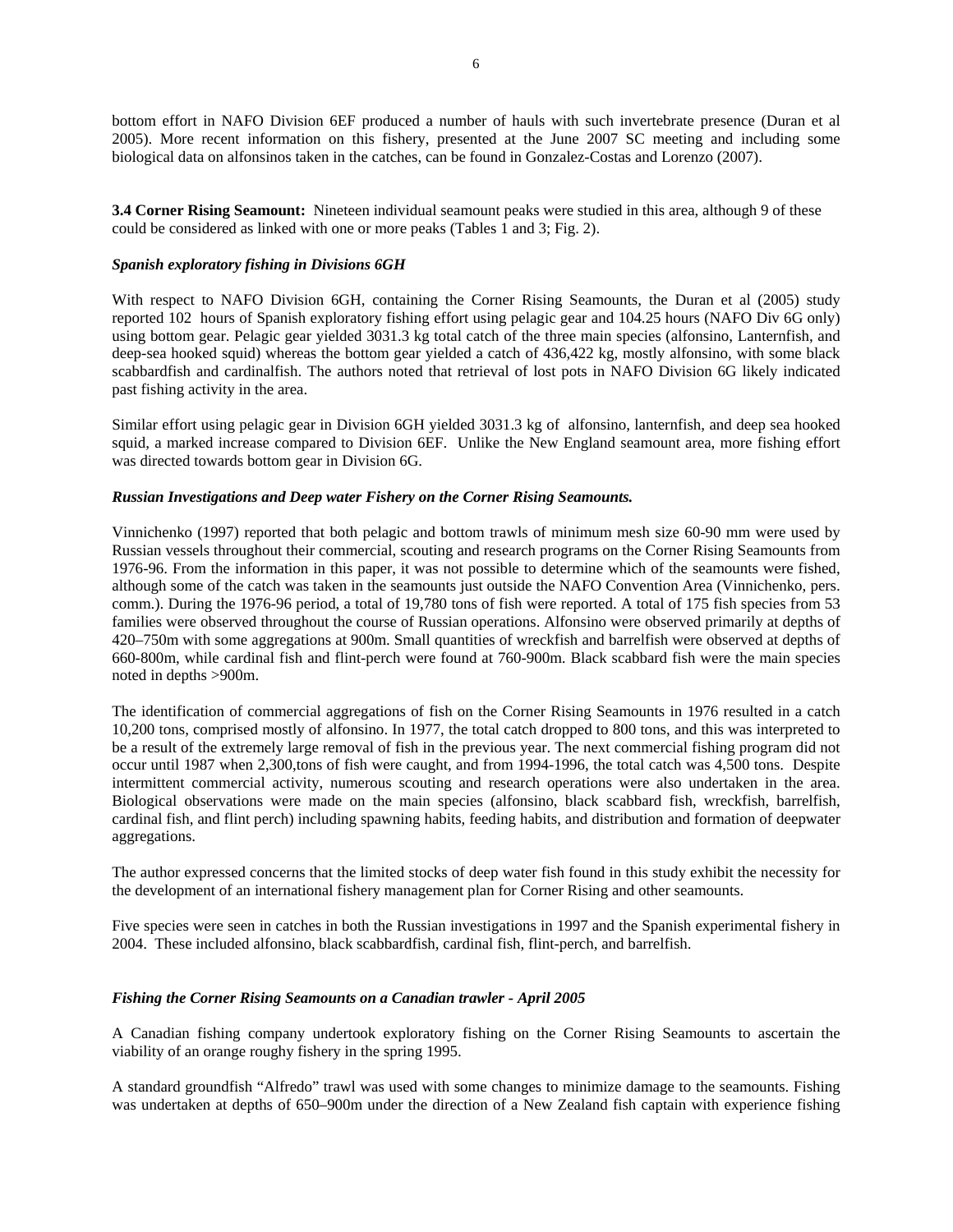bottom effort in NAFO Division 6EF produced a number of hauls with such invertebrate presence (Duran et al 2005). More recent information on this fishery, presented at the June 2007 SC meeting and including some biological data on alfonsinos taken in the catches, can be found in Gonzalez-Costas and Lorenzo (2007).

**3.4 Corner Rising Seamount:** Nineteen individual seamount peaks were studied in this area, although 9 of these could be considered as linked with one or more peaks (Tables 1 and 3; Fig. 2).

#### *Spanish exploratory fishing in Divisions 6GH*

With respect to NAFO Division 6GH, containing the Corner Rising Seamounts, the Duran et al (2005) study reported 102 hours of Spanish exploratory fishing effort using pelagic gear and 104.25 hours (NAFO Div 6G only) using bottom gear. Pelagic gear yielded 3031.3 kg total catch of the three main species (alfonsino, Lanternfish, and deep-sea hooked squid) whereas the bottom gear yielded a catch of 436,422 kg, mostly alfonsino, with some black scabbardfish and cardinalfish. The authors noted that retrieval of lost pots in NAFO Division 6G likely indicated past fishing activity in the area.

Similar effort using pelagic gear in Division 6GH yielded 3031.3 kg of alfonsino, lanternfish, and deep sea hooked squid, a marked increase compared to Division 6EF. Unlike the New England seamount area, more fishing effort was directed towards bottom gear in Division 6G.

### *Russian Investigations and Deep water Fishery on the Corner Rising Seamounts.*

Vinnichenko (1997) reported that both pelagic and bottom trawls of minimum mesh size 60-90 mm were used by Russian vessels throughout their commercial, scouting and research programs on the Corner Rising Seamounts from 1976-96. From the information in this paper, it was not possible to determine which of the seamounts were fished, although some of the catch was taken in the seamounts just outside the NAFO Convention Area (Vinnichenko, pers. comm.). During the 1976-96 period, a total of 19,780 tons of fish were reported. A total of 175 fish species from 53 families were observed throughout the course of Russian operations. Alfonsino were observed primarily at depths of 420–750m with some aggregations at 900m. Small quantities of wreckfish and barrelfish were observed at depths of 660-800m, while cardinal fish and flint-perch were found at 760-900m. Black scabbard fish were the main species noted in depths >900m.

The identification of commercial aggregations of fish on the Corner Rising Seamounts in 1976 resulted in a catch 10,200 tons, comprised mostly of alfonsino. In 1977, the total catch dropped to 800 tons, and this was interpreted to be a result of the extremely large removal of fish in the previous year. The next commercial fishing program did not occur until 1987 when 2,300,tons of fish were caught, and from 1994-1996, the total catch was 4,500 tons. Despite intermittent commercial activity, numerous scouting and research operations were also undertaken in the area. Biological observations were made on the main species (alfonsino, black scabbard fish, wreckfish, barrelfish, cardinal fish, and flint perch) including spawning habits, feeding habits, and distribution and formation of deepwater aggregations.

The author expressed concerns that the limited stocks of deep water fish found in this study exhibit the necessity for the development of an international fishery management plan for Corner Rising and other seamounts.

Five species were seen in catches in both the Russian investigations in 1997 and the Spanish experimental fishery in 2004. These included alfonsino, black scabbardfish, cardinal fish, flint-perch, and barrelfish.

#### *Fishing the Corner Rising Seamounts on a Canadian trawler - April 2005*

A Canadian fishing company undertook exploratory fishing on the Corner Rising Seamounts to ascertain the viability of an orange roughy fishery in the spring 1995.

A standard groundfish "Alfredo" trawl was used with some changes to minimize damage to the seamounts. Fishing was undertaken at depths of 650–900m under the direction of a New Zealand fish captain with experience fishing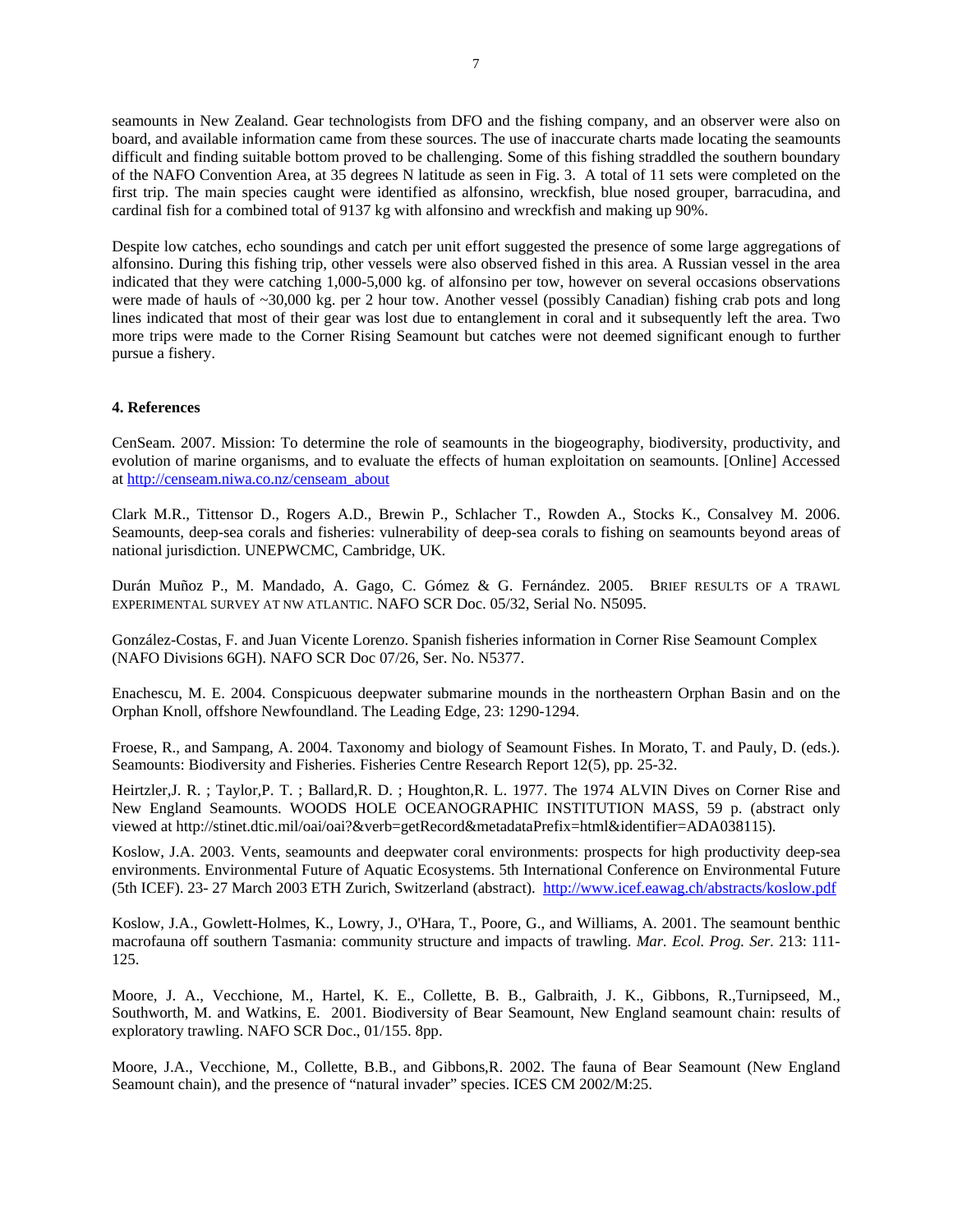seamounts in New Zealand. Gear technologists from DFO and the fishing company, and an observer were also on board, and available information came from these sources. The use of inaccurate charts made locating the seamounts difficult and finding suitable bottom proved to be challenging. Some of this fishing straddled the southern boundary of the NAFO Convention Area, at 35 degrees N latitude as seen in Fig. 3. A total of 11 sets were completed on the first trip. The main species caught were identified as alfonsino, wreckfish, blue nosed grouper, barracudina, and cardinal fish for a combined total of 9137 kg with alfonsino and wreckfish and making up 90%.

Despite low catches, echo soundings and catch per unit effort suggested the presence of some large aggregations of alfonsino. During this fishing trip, other vessels were also observed fished in this area. A Russian vessel in the area indicated that they were catching 1,000-5,000 kg. of alfonsino per tow, however on several occasions observations were made of hauls of ~30,000 kg. per 2 hour tow. Another vessel (possibly Canadian) fishing crab pots and long lines indicated that most of their gear was lost due to entanglement in coral and it subsequently left the area. Two more trips were made to the Corner Rising Seamount but catches were not deemed significant enough to further pursue a fishery.

#### **4. References**

CenSeam. 2007. Mission: To determine the role of seamounts in the biogeography, biodiversity, productivity, and evolution of marine organisms, and to evaluate the effects of human exploitation on seamounts. [Online] Accessed at http://censeam.niwa.co.nz/censeam\_about

Clark M.R., Tittensor D., Rogers A.D., Brewin P., Schlacher T., Rowden A., Stocks K., Consalvey M. 2006. Seamounts, deep-sea corals and fisheries: vulnerability of deep-sea corals to fishing on seamounts beyond areas of national jurisdiction. UNEPWCMC, Cambridge, UK.

Durán Muñoz P., M. Mandado, A. Gago, C. Gómez & G. Fernández. 2005. BRIEF RESULTS OF A TRAWL EXPERIMENTAL SURVEY AT NW ATLANTIC. NAFO SCR Doc. 05/32, Serial No. N5095.

González-Costas, F. and Juan Vicente Lorenzo. Spanish fisheries information in Corner Rise Seamount Complex (NAFO Divisions 6GH). NAFO SCR Doc 07/26, Ser. No. N5377.

Enachescu, M. E. 2004. Conspicuous deepwater submarine mounds in the northeastern Orphan Basin and on the Orphan Knoll, offshore Newfoundland. The Leading Edge, 23: 1290-1294.

Froese, R., and Sampang, A. 2004. Taxonomy and biology of Seamount Fishes. In Morato, T. and Pauly, D. (eds.). Seamounts: Biodiversity and Fisheries. Fisheries Centre Research Report 12(5), pp. 25-32.

Heirtzler,J. R. ; Taylor,P. T. ; Ballard,R. D. ; Houghton,R. L. 1977. The 1974 ALVIN Dives on Corner Rise and New England Seamounts. WOODS HOLE OCEANOGRAPHIC INSTITUTION MASS, 59 p. (abstract only viewed at http://stinet.dtic.mil/oai/oai?&verb=getRecord&metadataPrefix=html&identifier=ADA038115).

Koslow, J.A. 2003. Vents, seamounts and deepwater coral environments: prospects for high productivity deep-sea environments. Environmental Future of Aquatic Ecosystems. 5th International Conference on Environmental Future (5th ICEF). 23- 27 March 2003 ETH Zurich, Switzerland (abstract). http://www.icef.eawag.ch/abstracts/koslow.pdf

Koslow, J.A., Gowlett-Holmes, K., Lowry, J., O'Hara, T., Poore, G., and Williams, A. 2001. The seamount benthic macrofauna off southern Tasmania: community structure and impacts of trawling. *Mar. Ecol. Prog. Ser.* 213: 111- 125.

Moore, J. A., Vecchione, M., Hartel, K. E., Collette, B. B., Galbraith, J. K., Gibbons, R.,Turnipseed, M., Southworth, M. and Watkins, E. 2001. Biodiversity of Bear Seamount, New England seamount chain: results of exploratory trawling. NAFO SCR Doc., 01/155. 8pp.

Moore, J.A., Vecchione, M., Collette, B.B., and Gibbons,R. 2002. The fauna of Bear Seamount (New England Seamount chain), and the presence of "natural invader" species. ICES CM 2002/M:25.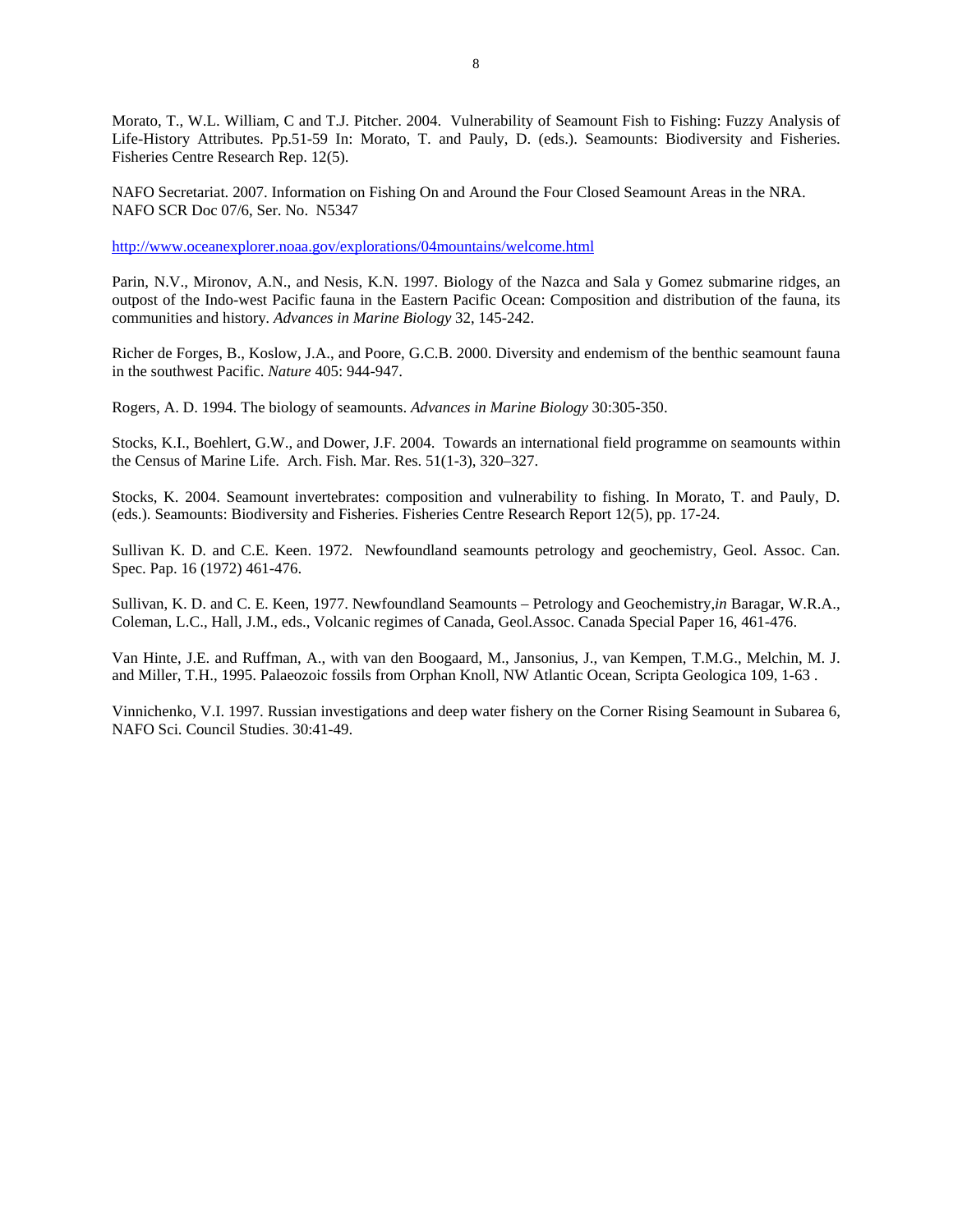Morato, T., W.L. William, C and T.J. Pitcher. 2004. Vulnerability of Seamount Fish to Fishing: Fuzzy Analysis of Life-History Attributes. Pp.51-59 In: Morato, T. and Pauly, D. (eds.). Seamounts: Biodiversity and Fisheries. Fisheries Centre Research Rep. 12(5).

NAFO Secretariat. 2007. Information on Fishing On and Around the Four Closed Seamount Areas in the NRA. NAFO SCR Doc 07/6, Ser. No. N5347

http://www.oceanexplorer.noaa.gov/explorations/04mountains/welcome.html

Parin, N.V., Mironov, A.N., and Nesis, K.N. 1997. Biology of the Nazca and Sala y Gomez submarine ridges, an outpost of the Indo-west Pacific fauna in the Eastern Pacific Ocean: Composition and distribution of the fauna, its communities and history*. Advances in Marine Biology* 32, 145-242.

Richer de Forges, B., Koslow, J.A., and Poore, G.C.B. 2000. Diversity and endemism of the benthic seamount fauna in the southwest Pacific. *Nature* 405: 944-947.

Rogers, A. D. 1994. The biology of seamounts. *Advances in Marine Biology* 30:305-350.

Stocks, K.I., Boehlert, G.W., and Dower, J.F. 2004. Towards an international field programme on seamounts within the Census of Marine Life. Arch. Fish. Mar. Res. 51(1-3), 320–327.

Stocks, K. 2004. Seamount invertebrates: composition and vulnerability to fishing. In Morato, T. and Pauly, D. (eds.). Seamounts: Biodiversity and Fisheries. Fisheries Centre Research Report 12(5), pp. 17-24.

Sullivan K. D. and C.E. Keen. 1972. Newfoundland seamounts petrology and geochemistry, Geol. Assoc. Can. Spec. Pap. 16 (1972) 461-476.

Sullivan, K. D. and C. E. Keen, 1977. Newfoundland Seamounts – Petrology and Geochemistry,*in* Baragar, W.R.A., Coleman, L.C., Hall, J.M., eds., Volcanic regimes of Canada, Geol.Assoc. Canada Special Paper 16, 461-476.

Van Hinte, J.E. and Ruffman, A., with van den Boogaard, M., Jansonius, J., van Kempen, T.M.G., Melchin, M. J. and Miller, T.H., 1995. Palaeozoic fossils from Orphan Knoll, NW Atlantic Ocean, Scripta Geologica 109, 1-63 .

Vinnichenko, V.I. 1997. Russian investigations and deep water fishery on the Corner Rising Seamount in Subarea 6, NAFO Sci. Council Studies. 30:41-49.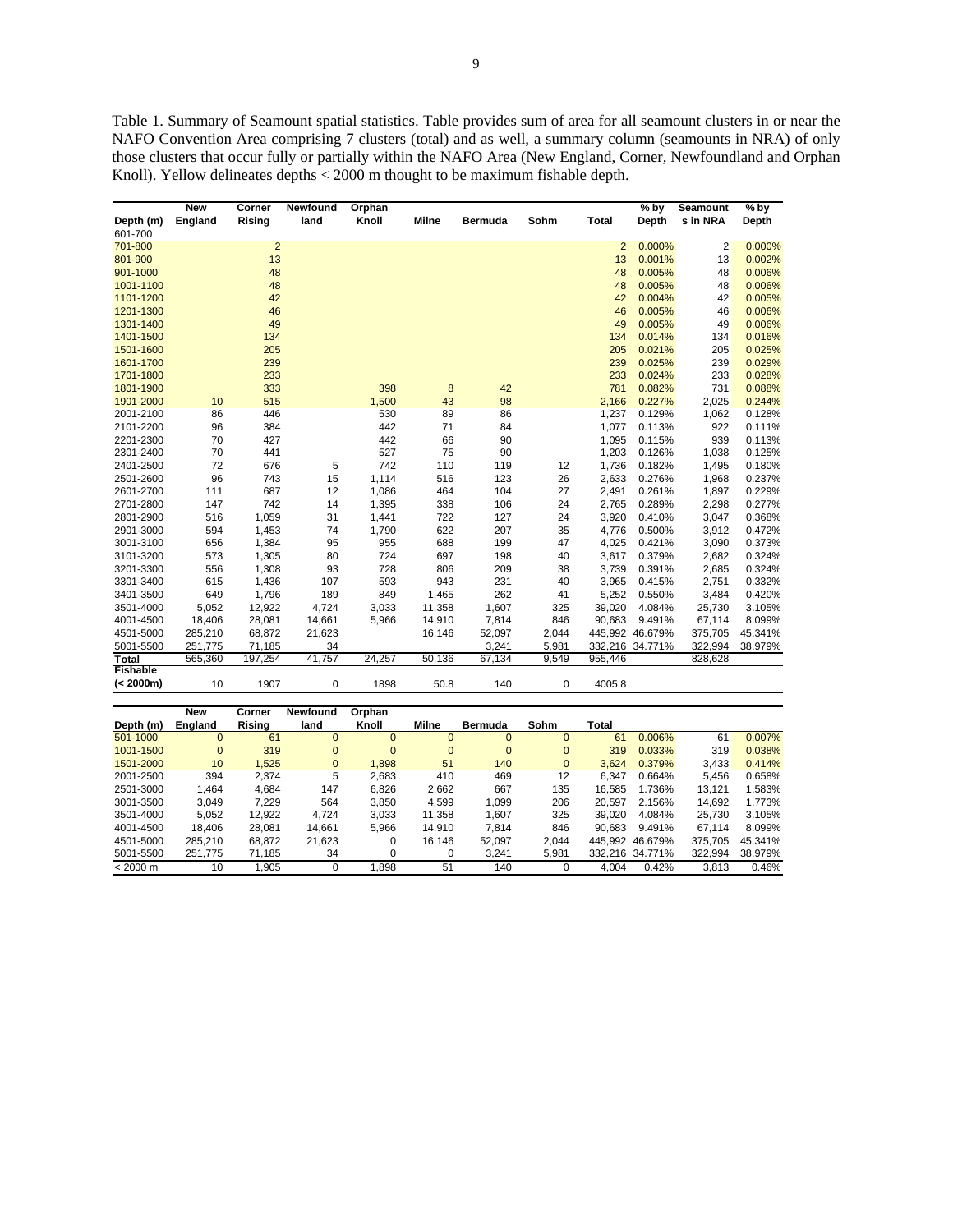Table 1. Summary of Seamount spatial statistics. Table provides sum of area for all seamount clusters in or near the NAFO Convention Area comprising 7 clusters (total) and as well, a summary column (seamounts in NRA) of only those clusters that occur fully or partially within the NAFO Area (New England, Corner, Newfoundland and Orphan Knoll). Yellow delineates depths < 2000 m thought to be maximum fishable depth.

|                 | <b>New</b> | Corner         | Newfound | Orphan |        |                |       |                | $%$ by          | <b>Seamount</b> | % by    |
|-----------------|------------|----------------|----------|--------|--------|----------------|-------|----------------|-----------------|-----------------|---------|
| Depth (m)       | England    | Rising         | land     | Knoll  | Milne  | <b>Bermuda</b> | Sohm  | <b>Total</b>   | Depth           | s in NRA        | Depth   |
| 601-700         |            |                |          |        |        |                |       |                |                 |                 |         |
| 701-800         |            | $\overline{2}$ |          |        |        |                |       | $\overline{2}$ | 0.000%          | $\overline{2}$  | 0.000%  |
| 801-900         |            | 13             |          |        |        |                |       | 13             | 0.001%          | 13              | 0.002%  |
| 901-1000        |            | 48             |          |        |        |                |       | 48             | 0.005%          | 48              | 0.006%  |
| 1001-1100       |            | 48             |          |        |        |                |       | 48             | 0.005%          | 48              | 0.006%  |
| 1101-1200       |            | 42             |          |        |        |                |       | 42             | 0.004%          | 42              | 0.005%  |
| 1201-1300       |            | 46             |          |        |        |                |       | 46             | 0.005%          | 46              | 0.006%  |
| 1301-1400       |            | 49             |          |        |        |                |       | 49             | 0.005%          | 49              | 0.006%  |
| 1401-1500       |            | 134            |          |        |        |                |       | 134            | 0.014%          | 134             | 0.016%  |
| 1501-1600       |            | 205            |          |        |        |                |       | 205            | 0.021%          | 205             | 0.025%  |
| 1601-1700       |            | 239            |          |        |        |                |       | 239            | 0.025%          | 239             | 0.029%  |
| 1701-1800       |            | 233            |          |        |        |                |       | 233            | 0.024%          | 233             | 0.028%  |
| 1801-1900       |            | 333            |          | 398    | 8      | 42             |       | 781            | 0.082%          | 731             | 0.088%  |
| 1901-2000       | 10         | 515            |          | 1,500  | 43     | 98             |       | 2,166          | 0.227%          | 2,025           | 0.244%  |
| 2001-2100       | 86         | 446            |          | 530    | 89     | 86             |       | 1,237          | 0.129%          | 1,062           | 0.128%  |
| 2101-2200       | 96         | 384            |          | 442    | 71     | 84             |       | 1,077          | 0.113%          | 922             | 0.111%  |
| 2201-2300       | 70         | 427            |          | 442    | 66     | 90             |       | 1,095          | 0.115%          | 939             | 0.113%  |
| 2301-2400       | 70         | 441            |          | 527    | 75     | 90             |       | 1,203          | 0.126%          | 1,038           | 0.125%  |
| 2401-2500       | 72         | 676            | 5        | 742    | 110    | 119            | 12    | 1,736          | 0.182%          | 1,495           | 0.180%  |
| 2501-2600       | 96         | 743            | 15       | 1,114  | 516    | 123            | 26    | 2,633          | 0.276%          | 1,968           | 0.237%  |
| 2601-2700       | 111        | 687            | 12       | 1,086  | 464    | 104            | 27    | 2,491          | 0.261%          | 1,897           | 0.229%  |
| 2701-2800       | 147        | 742            | 14       | 1,395  | 338    | 106            | 24    | 2,765          | 0.289%          | 2,298           | 0.277%  |
| 2801-2900       | 516        | 1,059          | 31       | 1,441  | 722    | 127            | 24    | 3,920          | 0.410%          | 3,047           | 0.368%  |
| 2901-3000       | 594        | 1,453          | 74       | 1,790  | 622    | 207            | 35    | 4,776          | 0.500%          | 3,912           | 0.472%  |
| 3001-3100       | 656        | 1,384          | 95       | 955    | 688    | 199            | 47    | 4,025          | 0.421%          | 3,090           | 0.373%  |
| 3101-3200       | 573        | 1,305          | 80       | 724    | 697    | 198            | 40    | 3,617          | 0.379%          | 2,682           | 0.324%  |
| 3201-3300       | 556        | 1,308          | 93       | 728    | 806    | 209            | 38    | 3,739          | 0.391%          | 2,685           | 0.324%  |
| 3301-3400       | 615        | 1,436          | 107      | 593    | 943    | 231            | 40    | 3,965          | 0.415%          | 2,751           | 0.332%  |
| 3401-3500       | 649        | 1,796          | 189      | 849    | 1,465  | 262            | 41    | 5,252          | 0.550%          | 3,484           | 0.420%  |
| 3501-4000       | 5,052      | 12,922         | 4,724    | 3,033  | 11,358 | 1,607          | 325   | 39,020         | 4.084%          | 25,730          | 3.105%  |
| 4001-4500       | 18,406     | 28,081         | 14,661   | 5,966  | 14,910 | 7,814          | 846   | 90,683         | 9.491%          | 67,114          | 8.099%  |
| 4501-5000       | 285,210    | 68,872         | 21,623   |        | 16,146 | 52,097         | 2,044 |                | 445,992 46.679% | 375,705         | 45.341% |
| 5001-5500       | 251,775    | 71,185         | 34       |        |        | 3,241          | 5,981 |                | 332,216 34.771% | 322,994         | 38.979% |
| <b>Total</b>    | 565,360    | 197,254        | 41,757   | 24,257 | 50,136 | 67,134         | 9,549 | 955,446        |                 | 828,628         |         |
| <b>Fishable</b> |            |                |          |        |        |                |       |                |                 |                 |         |
| (< 2000m)       | 10         | 1907           | 0        | 1898   | 50.8   | 140            | 0     | 4005.8         |                 |                 |         |

|                    | <b>New</b> | Corner | <b>Newfound</b> | Orphan   |          |                |          |        |                 |         |         |
|--------------------|------------|--------|-----------------|----------|----------|----------------|----------|--------|-----------------|---------|---------|
| Depth (m)          | England    | Rising | land            | Knoll    | Milne    | <b>Bermuda</b> | Sohm     | Total  |                 |         |         |
| 501-1000           | $\Omega$   | 61     | $\Omega$        | $\Omega$ | $\Omega$ | $\mathbf{0}$   |          | 61     | 0.006%          | 61      | 0.007%  |
| 1001-1500          | 0          | 319    | $\Omega$        | $\Omega$ | $\Omega$ | $\mathbf{0}$   | $\Omega$ | 319    | 0.033%          | 319     | 0.038%  |
| 1501-2000          | 10         | 1.525  | $\mathbf{0}$    | 1.898    | 51       | 140            | $\Omega$ | 3.624  | 0.379%          | 3,433   | 0.414%  |
| 2001-2500          | 394        | 2.374  | 5               | 2.683    | 410      | 469            | 12       | 6.347  | 0.664%          | 5.456   | 0.658%  |
| 2501-3000          | 1.464      | 4.684  | 147             | 6,826    | 2,662    | 667            | 135      | 16.585 | 1.736%          | 13.121  | 1.583%  |
| 3001-3500          | 3.049      | 7.229  | 564             | 3.850    | 4.599    | 1.099          | 206      | 20.597 | 2.156%          | 14.692  | 1.773%  |
| 3501-4000          | 5,052      | 12.922 | 4.724           | 3.033    | 11.358   | 1.607          | 325      | 39.020 | 4.084%          | 25.730  | 3.105%  |
| 4001-4500          | 18.406     | 28.081 | 14.661          | 5.966    | 14.910   | 7.814          | 846      | 90.683 | 9.491%          | 67.114  | 8.099%  |
| 4501-5000          | 285.210    | 68.872 | 21,623          | 0        | 16.146   | 52.097         | 2.044    |        | 445.992 46.679% | 375.705 | 45.341% |
| 5001-5500          | 251.775    | 71.185 | 34              |          | 0        | 3.241          | 5.981    |        | 332.216 34.771% | 322.994 | 38.979% |
| $< 2000 \text{ m}$ | 10         | .905   | $\Omega$        | .898     | 51       | 140            |          | 4.004  | 0.42%           | 3.813   | 0.46%   |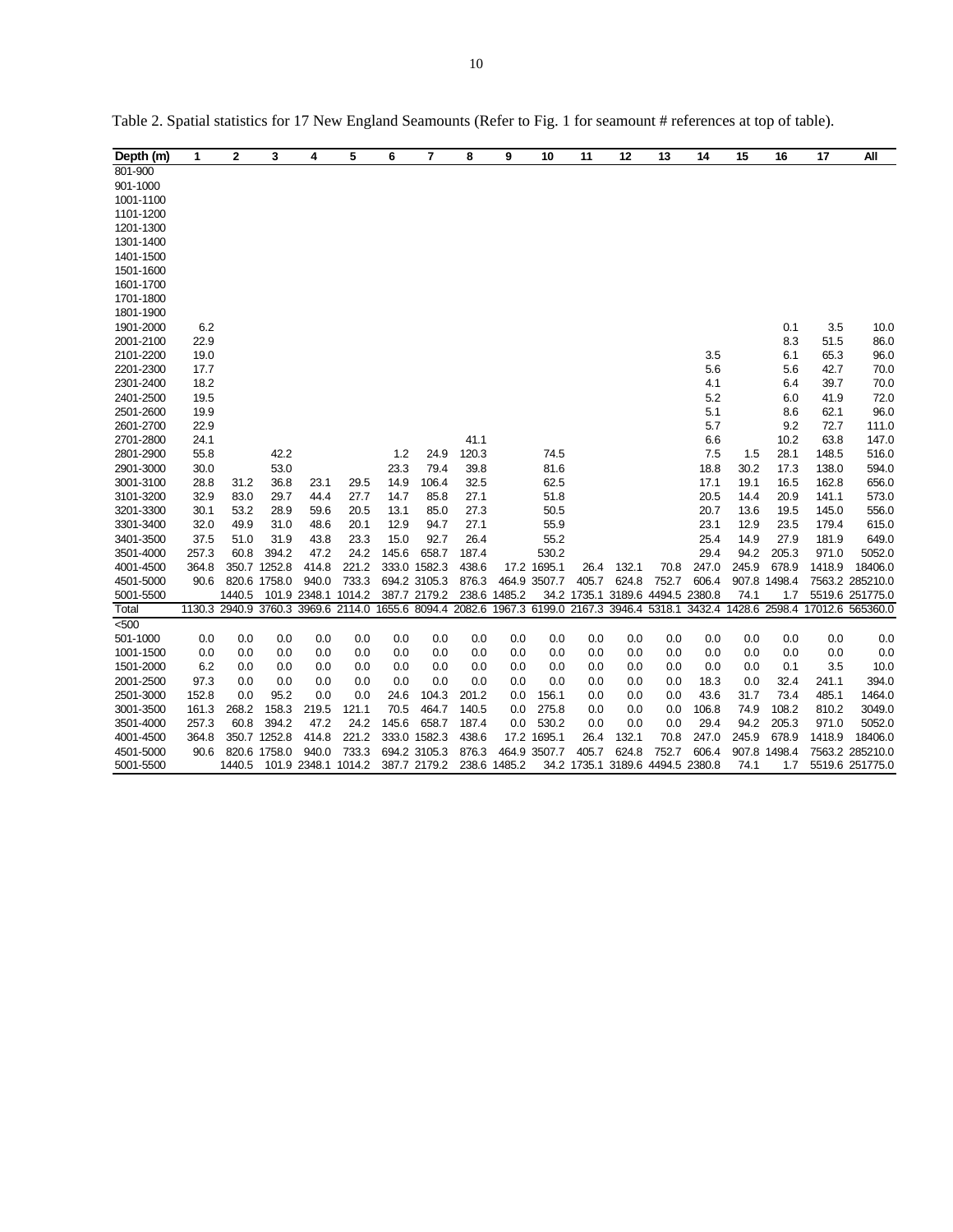| Depth (m) | 1     | 2      | 3            | 4            | 5                   | 6     | $\overline{7}$ | 8     | 9            | 10           | 11                                                                                         | 12                   | 13    | 14     | 15    | 16            | 17     | ΑIΙ              |
|-----------|-------|--------|--------------|--------------|---------------------|-------|----------------|-------|--------------|--------------|--------------------------------------------------------------------------------------------|----------------------|-------|--------|-------|---------------|--------|------------------|
| 801-900   |       |        |              |              |                     |       |                |       |              |              |                                                                                            |                      |       |        |       |               |        |                  |
| 901-1000  |       |        |              |              |                     |       |                |       |              |              |                                                                                            |                      |       |        |       |               |        |                  |
| 1001-1100 |       |        |              |              |                     |       |                |       |              |              |                                                                                            |                      |       |        |       |               |        |                  |
| 1101-1200 |       |        |              |              |                     |       |                |       |              |              |                                                                                            |                      |       |        |       |               |        |                  |
| 1201-1300 |       |        |              |              |                     |       |                |       |              |              |                                                                                            |                      |       |        |       |               |        |                  |
| 1301-1400 |       |        |              |              |                     |       |                |       |              |              |                                                                                            |                      |       |        |       |               |        |                  |
| 1401-1500 |       |        |              |              |                     |       |                |       |              |              |                                                                                            |                      |       |        |       |               |        |                  |
| 1501-1600 |       |        |              |              |                     |       |                |       |              |              |                                                                                            |                      |       |        |       |               |        |                  |
| 1601-1700 |       |        |              |              |                     |       |                |       |              |              |                                                                                            |                      |       |        |       |               |        |                  |
| 1701-1800 |       |        |              |              |                     |       |                |       |              |              |                                                                                            |                      |       |        |       |               |        |                  |
| 1801-1900 |       |        |              |              |                     |       |                |       |              |              |                                                                                            |                      |       |        |       |               |        |                  |
| 1901-2000 | 6.2   |        |              |              |                     |       |                |       |              |              |                                                                                            |                      |       |        |       | 0.1           | 3.5    | 10.0             |
| 2001-2100 | 22.9  |        |              |              |                     |       |                |       |              |              |                                                                                            |                      |       |        |       | 8.3           | 51.5   | 86.0             |
| 2101-2200 | 19.0  |        |              |              |                     |       |                |       |              |              |                                                                                            |                      |       | 3.5    |       | 6.1           | 65.3   | 96.0             |
| 2201-2300 | 17.7  |        |              |              |                     |       |                |       |              |              |                                                                                            |                      |       | 5.6    |       | 5.6           | 42.7   | 70.0             |
| 2301-2400 | 18.2  |        |              |              |                     |       |                |       |              |              |                                                                                            |                      |       | 4.1    |       | 6.4           | 39.7   | 70.0             |
| 2401-2500 | 19.5  |        |              |              |                     |       |                |       |              |              |                                                                                            |                      |       | 5.2    |       | 6.0           | 41.9   | 72.0             |
| 2501-2600 | 19.9  |        |              |              |                     |       |                |       |              |              |                                                                                            |                      |       | 5.1    |       | 8.6           | 62.1   | 96.0             |
| 2601-2700 | 22.9  |        |              |              |                     |       |                |       |              |              |                                                                                            |                      |       | 5.7    |       | 9.2           | 72.7   | 111.0            |
| 2701-2800 | 24.1  |        |              |              |                     |       |                | 41.1  |              |              |                                                                                            |                      |       | 6.6    |       | 10.2          | 63.8   | 147.0            |
| 2801-2900 | 55.8  |        | 42.2         |              |                     | 1.2   | 24.9           | 120.3 |              | 74.5         |                                                                                            |                      |       | 7.5    | 1.5   | 28.1          | 148.5  | 516.0            |
| 2901-3000 | 30.0  |        | 53.0         |              |                     | 23.3  | 79.4           | 39.8  |              | 81.6         |                                                                                            |                      |       | 18.8   | 30.2  | 17.3          | 138.0  | 594.0            |
| 3001-3100 | 28.8  | 31.2   | 36.8         | 23.1         | 29.5                | 14.9  | 106.4          | 32.5  |              | 62.5         |                                                                                            |                      |       | 17.1   | 19.1  | 16.5          | 162.8  | 656.0            |
| 3101-3200 | 32.9  | 83.0   | 29.7         | 44.4         | 27.7                | 14.7  | 85.8           | 27.1  |              | 51.8         |                                                                                            |                      |       | 20.5   | 14.4  | 20.9          | 141.1  | 573.0            |
| 3201-3300 | 30.1  | 53.2   | 28.9         | 59.6         | 20.5                | 13.1  | 85.0           | 273   |              | 50.5         |                                                                                            |                      |       | 20.7   | 13.6  | 19.5          | 145.0  | 556.0            |
| 3301-3400 | 32.0  | 49.9   | 31.0         | 48.6         | 20.1                | 12.9  | 94.7           | 27.1  |              | 55.9         |                                                                                            |                      |       | 23.1   | 12.9  | 23.5          | 179.4  | 615.0            |
| 3401-3500 | 37.5  | 51.0   | 31.9         | 43.8         | 23.3                | 15.0  | 92.7           | 26.4  |              | 55.2         |                                                                                            |                      |       | 25.4   | 14.9  | 27.9          | 181.9  | 649.0            |
| 3501-4000 | 257.3 | 60.8   | 394.2        | 47.2         | 24.2                | 145.6 | 658.7          | 187.4 |              | 530.2        |                                                                                            |                      |       | 29.4   | 94.2  | 205.3         | 971.0  | 5052.0           |
| 4001-4500 | 364.8 |        | 350.7 1252.8 | 414.8        | 221.2               |       | 333.0 1582.3   | 438.6 |              | 17.2 1695.1  | 26.4                                                                                       | 132.1                | 70.8  | 247.0  | 245.9 | 678.9         | 1418.9 | 18406.0          |
| 4501-5000 | 90.6  |        | 820.6 1758.0 | 940.0        | 733.3               |       | 694.2 3105.3   | 876.3 |              | 464.9 3507.7 | 405.7                                                                                      | 624.8                | 752.7 | 606.4  |       | 907.8 1498.4  |        | 7563.2 285210.0  |
| 5001-5500 |       | 1440.5 |              | 101.9 2348.1 | 1014.2              |       | 387.7 2179.2   |       | 238.6 1485.2 |              | 34.2 1735.1                                                                                | 3189.6 4494.5 2380.8 |       |        | 74.1  | 1.7           |        | 5519.6 251775.0  |
| Total     |       |        |              |              |                     |       |                |       |              |              | 1130.3 2940.9 3760.3 3969.6 2114.0 1655.6 8094.4 2082.6 1967.3 6199.0 2167.3 3946.4 5318.1 |                      |       | 3432.4 |       | 1428.6 2598.4 |        | 17012.6 565360.0 |
| 500       |       |        |              |              |                     |       |                |       |              |              |                                                                                            |                      |       |        |       |               |        |                  |
| 501-1000  | 0.0   | 0.0    | 0.0          | 0.0          | 0.0                 | 0.0   | 0.0            | 0.0   | 0.0          | 0.0          | 0.0                                                                                        | 0.0                  | 0.0   | 0.0    | 0.0   | 0.0           | 0.0    | 0.0              |
| 1001-1500 | 0.0   | 0.0    | 0.0          | 0.0          | 0.0                 | 0.0   | 0.0            | 0.0   | 0.0          | 0.0          | 0.0                                                                                        | 0.0                  | 0.0   | 0.0    | 0.0   | 0.0           | 0.0    | 0.0              |
| 1501-2000 | 6.2   | 0.0    | 0.0          | 0.0          | 0.0                 | 0.0   | 0.0            | 0.0   | 0.0          | 0.0          | 0.0                                                                                        | 0.0                  | 0.0   | 0.0    | 0.0   | 0.1           | 3.5    | 10.0             |
| 2001-2500 | 97.3  | 0.0    | 0.0          | 0.0          | 0.0                 | 0.0   | 0.0            | 0.0   | 0.0          | 0.0          | 0.0                                                                                        | 0.0                  | 0.0   | 18.3   | 0.0   | 32.4          | 241.1  | 394.0            |
| 2501-3000 | 152.8 | 0.0    | 95.2         | 0.0          | 0.0                 | 24.6  | 104.3          | 201.2 | 0.0          | 156.1        | 0.0                                                                                        | 0.0                  | 0.0   | 43.6   | 31.7  | 73.4          | 485.1  | 1464.0           |
| 3001-3500 | 161.3 | 268.2  | 158.3        | 219.5        | 121.1               | 70.5  | 464.7          | 140.5 | 0.0          | 275.8        | 0.0                                                                                        | 0.0                  | 0.0   | 106.8  | 74.9  | 108.2         | 810.2  | 3049.0           |
| 3501-4000 | 257.3 | 60.8   | 394.2        | 47.2         | 24.2                | 145.6 | 658.7          | 187.4 | 0.0          | 530.2        | 0.0                                                                                        | 0.0                  | 0.0   | 29.4   | 94.2  | 205.3         | 971.0  | 5052.0           |
| 4001-4500 | 364.8 |        | 350.7 1252.8 | 414.8        | 221.2               |       | 333.0 1582.3   | 438.6 |              | 17.2 1695.1  | 26.4                                                                                       | 132.1                | 70.8  | 247.0  | 245.9 | 678.9         | 1418.9 | 18406.0          |
| 4501-5000 | 90.6  |        | 820.6 1758.0 | 940.0        | 733.3               |       | 694.2 3105.3   | 876.3 |              | 464.9 3507.7 | 405.7                                                                                      | 624.8                | 752.7 | 606.4  |       | 907.8 1498.4  |        | 7563.2 285210.0  |
| 5001-5500 |       | 1440.5 |              |              | 101.9 2348.1 1014.2 |       | 387.7 2179.2   |       | 238.6 1485.2 |              | 34.2 1735.1 3189.6 4494.5 2380.8                                                           |                      |       |        | 74.1  | 1.7           |        | 5519.6 251775.0  |

Table 2. Spatial statistics for 17 New England Seamounts (Refer to Fig. 1 for seamount # references at top of table).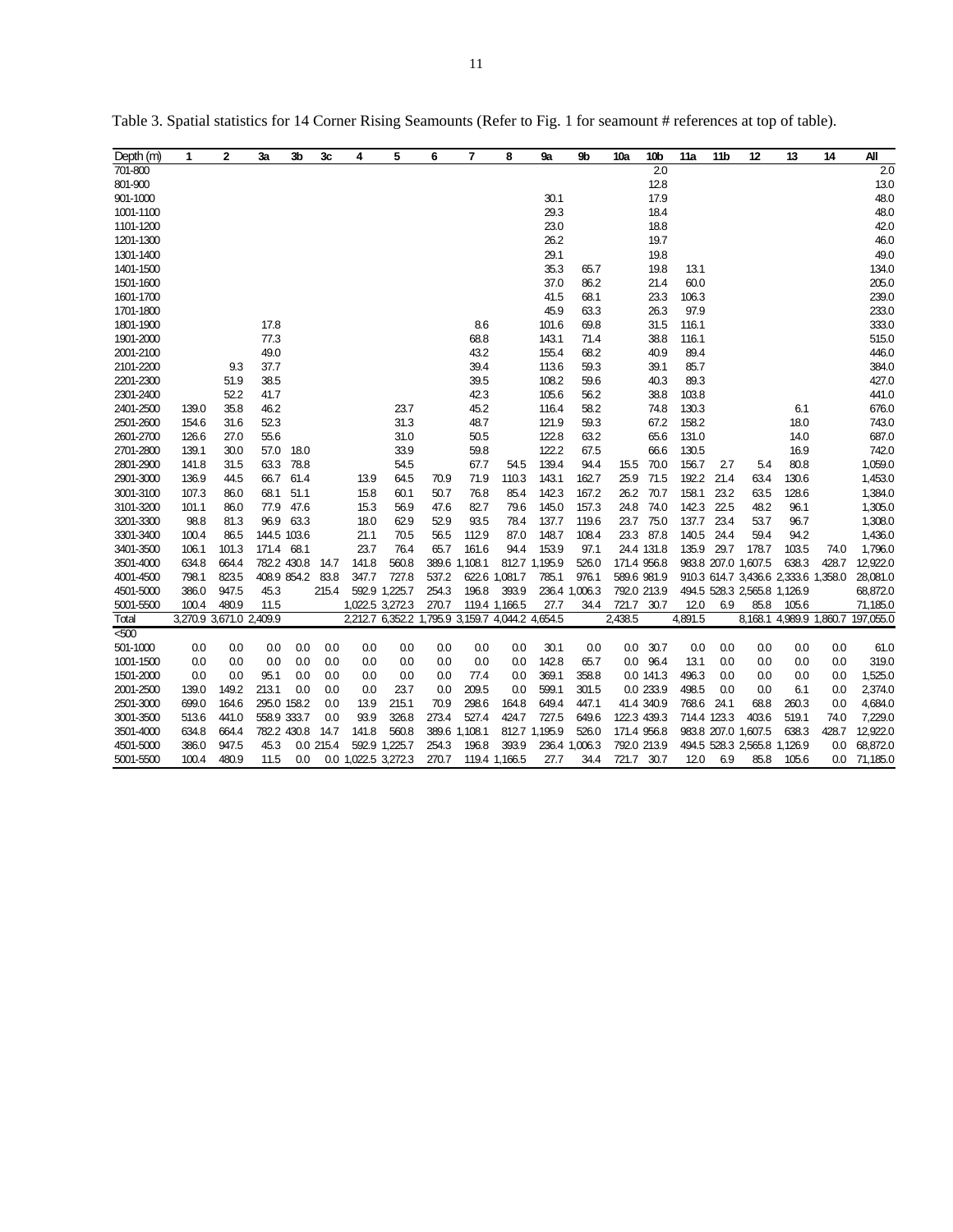| Depth (m) | 1     | $\overline{2}$          | 3a          | 3b               | 3c        | 4                   | 5                                               | 6     | $\overline{7}$ | 8             | 9а            | 9 <sub>b</sub> | 10a          | 10b         | 11a         | 11 <sub>b</sub> | 12                          | 13                                  | 14    | All       |
|-----------|-------|-------------------------|-------------|------------------|-----------|---------------------|-------------------------------------------------|-------|----------------|---------------|---------------|----------------|--------------|-------------|-------------|-----------------|-----------------------------|-------------------------------------|-------|-----------|
| 701-800   |       |                         |             |                  |           |                     |                                                 |       |                |               |               |                |              | 2.0         |             |                 |                             |                                     |       | 2.0       |
| 801-900   |       |                         |             |                  |           |                     |                                                 |       |                |               |               |                |              | 12.8        |             |                 |                             |                                     |       | 13.0      |
| 901-1000  |       |                         |             |                  |           |                     |                                                 |       |                |               | 30.1          |                |              | 17.9        |             |                 |                             |                                     |       | 48.0      |
| 1001-1100 |       |                         |             |                  |           |                     |                                                 |       |                |               | 29.3          |                |              | 18.4        |             |                 |                             |                                     |       | 48.0      |
| 1101-1200 |       |                         |             |                  |           |                     |                                                 |       |                |               | 23.0          |                |              | 18.8        |             |                 |                             |                                     |       | 42.0      |
| 1201-1300 |       |                         |             |                  |           |                     |                                                 |       |                |               | 26.2          |                |              | 19.7        |             |                 |                             |                                     |       | 46.0      |
| 1301-1400 |       |                         |             |                  |           |                     |                                                 |       |                |               | 29.1          |                |              | 19.8        |             |                 |                             |                                     |       | 49.0      |
| 1401-1500 |       |                         |             |                  |           |                     |                                                 |       |                |               | 35.3          | 65.7           |              | 19.8        | 13.1        |                 |                             |                                     |       | 134.0     |
| 1501-1600 |       |                         |             |                  |           |                     |                                                 |       |                |               | 37.0          | 86.2           |              | 21.4        | 60.0        |                 |                             |                                     |       | 205.0     |
| 1601-1700 |       |                         |             |                  |           |                     |                                                 |       |                |               | 41.5          | 68.1           |              | 23.3        | 106.3       |                 |                             |                                     |       | 239.0     |
| 1701-1800 |       |                         |             |                  |           |                     |                                                 |       |                |               | 45.9          | 63.3           |              | 26.3        | 97.9        |                 |                             |                                     |       | 233.0     |
| 1801-1900 |       |                         | 17.8        |                  |           |                     |                                                 |       | 8.6            |               | 101.6         | 69.8           |              | 31.5        | 116.1       |                 |                             |                                     |       | 333.0     |
| 1901-2000 |       |                         | 77.3        |                  |           |                     |                                                 |       | 68.8           |               | 143.1         | 71.4           |              | 38.8        | 116.1       |                 |                             |                                     |       | 515.0     |
| 2001-2100 |       |                         | 49.0        |                  |           |                     |                                                 |       | 43.2           |               | 155.4         | 68.2           |              | 40.9        | 89.4        |                 |                             |                                     |       | 446.0     |
| 2101-2200 |       | 9.3                     | 37.7        |                  |           |                     |                                                 |       | 39.4           |               | 113.6         | 59.3           |              | 39.1        | 85.7        |                 |                             |                                     |       | 384.0     |
| 2201-2300 |       | 51.9                    | 38.5        |                  |           |                     |                                                 |       | 39.5           |               | 108.2         | 59.6           |              | 40.3        | 89.3        |                 |                             |                                     |       | 427.0     |
| 2301-2400 |       | 52.2                    | 41.7        |                  |           |                     |                                                 |       | 42.3           |               | 105.6         | 56.2           |              | 38.8        | 103.8       |                 |                             |                                     |       | 441.0     |
| 2401-2500 | 139.0 | 35.8                    | 46.2        |                  |           |                     | 23.7                                            |       | 45.2           |               | 116.4         | 58.2           |              | 74.8        | 130.3       |                 |                             | 6.1                                 |       | 676.0     |
| 2501-2600 | 154.6 | 31.6                    | 52.3        |                  |           |                     | 31.3                                            |       | 48.7           |               | 121.9         | 59.3           |              | 67.2        | 158.2       |                 |                             | 18.0                                |       | 743.0     |
| 2601-2700 | 126.6 | 27.0                    | 55.6        |                  |           |                     | 31.0                                            |       | 50.5           |               | 122.8         | 63.2           |              | 65.6        | 131.0       |                 |                             | 14.0                                |       | 687.0     |
| 2701-2800 | 139.1 | 30.0                    | 57.0        | 18.0             |           |                     | 339                                             |       | 59.8           |               | 122.2         | 67.5           |              | 66.6        | 130.5       |                 |                             | 16.9                                |       | 742.0     |
| 2801-2900 | 141.8 | 31.5                    | 63.3        | 78.8             |           |                     | 54.5                                            |       | 67.7           | 54.5          | 139.4         | 94.4           | 15.5         | 70.0        | 156.7       | 27              | 5.4                         | 80.8                                |       | 1,059.0   |
| 2901-3000 | 136.9 | 44.5                    | 66.7        | 61.4             |           | 13.9                | 64.5                                            | 70.9  | 71.9           | 110.3         | 143.1         | 162.7          | 25.9         | 71.5        | 192.2       | 21.4            | 63.4                        | 130.6                               |       | 1,453.0   |
| 3001-3100 | 107.3 | 86.0                    | 68.1        | 51.1             |           | 15.8                | 60.1                                            | 50.7  | 76.8           | 85.4          | 142.3         | 167.2          | 26.2         | 70.7        | 158.1       | 23.2            | 63.5                        | 128.6                               |       | 1,384.0   |
| 3101-3200 | 101.1 | 86.0                    | 77.9        | 47.6             |           | 15.3                | 56.9                                            | 47.6  | 82.7           | 79.6          | 145.0         | 157.3          | 24.8         | 74.0        | 142.3 22.5  |                 | 48.2                        | 96.1                                |       | 1,305.0   |
| 3201-3300 | 98.8  | 81.3                    | 96.9        | 63.3             |           | 18.0                | 62.9                                            | 52.9  | 93.5           | 78.4          | 137.7         | 119.6          | 23.7         | 75.0        | 137.7 23.4  |                 | 53.7                        | 96.7                                |       | 1,308.0   |
| 3301-3400 | 100.4 | 86.5                    | 144.5 103.6 |                  |           | 21.1                | 70.5                                            | 56.5  | 112.9          | 87.0          | 148.7         | 108.4          | 23.3         | 87.8        | 140.5       | 24.4            | 59.4                        | 94.2                                |       | 1,436.0   |
| 3401-3500 | 106.1 | 101.3                   | 171.4 68.1  |                  |           | 23.7                | 76.4                                            | 65.7  | 161.6          | 94.4          | 153.9         | 97.1           |              | 24.4 131.8  | 135.9 29.7  |                 | 178.7                       | 103.5                               | 74.0  | 1,796.0   |
| 3501-4000 | 634.8 | 664.4                   |             | 782.2 430.8      | 14.7      | 141.8               | 560.8                                           |       | 389.6 1,108.1  |               | 812.7 1,195.9 | 526.0          |              | 171.4 956.8 |             |                 | 983.8 207.0 1,607.5         | 638.3                               | 428.7 | 12,922.0  |
| 4001-4500 | 798.1 | 823.5                   |             | 408.9 854.2 83.8 |           | 347.7               | 727.8                                           | 537.2 |                | 622.6 1,081.7 | 785.1         | 976.1          |              | 589.6 981.9 |             |                 |                             | 910.3 614.7 3,436.6 2,333.6 1,358.0 |       | 28,081.0  |
| 4501-5000 | 386.0 | 947.5                   | 45.3        |                  | 215.4     |                     | 592.9 1,225.7                                   | 254.3 | 196.8          | 393.9         |               | 236.4 1,006.3  |              | 792.0 213.9 |             |                 | 494.5 528.3 2,565.8 1,126.9 |                                     |       | 68,872.0  |
| 5001-5500 | 100.4 | 480.9                   | 11.5        |                  |           | 1,022.5 3,272.3     |                                                 | 270.7 |                | 119.4 1,166.5 | 27.7          | 34.4           | 721.7 30.7   |             | 12.0        | 6.9             | 85.8                        | 105.6                               |       | 71,185.0  |
| Total     |       | 3,270.9 3,671.0 2,409.9 |             |                  |           |                     | 2,212.7 6,352.2 1,795.9 3,159.7 4,044.2 4,654.5 |       |                |               |               |                | 2,438.5      |             | 4,891.5     |                 |                             | 8,168.1 4,989.9 1,860.7             |       | 197,055.0 |
| 500       |       |                         |             |                  |           |                     |                                                 |       |                |               |               |                |              |             |             |                 |                             |                                     |       |           |
| 501-1000  | 0.0   | 0.0                     | 0.0         | 0.0              | 0.0       | 0.0                 | 0.0                                             | 0.0   | 0.0            | 0.0           | 30.1          | 0.0            | $0.0\degree$ | 30.7        | 0.0         | 0.0             | 0.0                         | 0.0                                 | 0.0   | 61.0      |
| 1001-1500 | 0.0   | 0.0                     | 0.0         | 0.0              | 0.0       | 0.0                 | 0.0                                             | 0.0   | 0.0            | 0.0           | 142.8         | 65.7           | 0.0          | 96.4        | 13.1        | 0.0             | 0.0                         | 0.0                                 | 0.0   | 319.0     |
| 1501-2000 | 0.0   | 0.0                     | 95.1        | 0.0              | 0.0       | 0.0                 | 0.0                                             | 0.0   | 77.4           | 0.0           | 369.1         | 358.8          |              | 0.0 141.3   | 496.3       | 0.0             | 0.0                         | 0.0                                 | 0.0   | 1,525.0   |
| 2001-2500 | 139.0 | 149.2                   | 213.1       | 0.0              | 0.0       | 0.0                 | 23.7                                            | 0.0   | 209.5          | 0.0           | 599.1         | 301.5          |              | 0.0 233.9   | 498.5       | 0.0             | 0.0                         | 6.1                                 | 0.0   | 2,374.0   |
| 2501-3000 | 699.0 | 164.6                   | 295.0 158.2 |                  | 0.0       | 13.9                | 215.1                                           | 70.9  | 298.6          | 164.8         | 649.4         | 447.1          |              | 41.4 340.9  | 768.6       | 24.1            | 68.8                        | 260.3                               | 0.0   | 4,684.0   |
| 3001-3500 | 513.6 | 441.0                   | 558.9 333.7 |                  | 0.0       | 93.9                | 326.8                                           | 273.4 | 527.4          | 424.7         | 727.5         | 649.6          |              | 122.3 439.3 | 714.4 123.3 |                 | 403.6                       | 519.1                               | 74.0  | 7,229.0   |
| 3501-4000 | 634.8 | 664.4                   |             | 782.2 430.8      | 14.7      | 141.8               | 560.8                                           |       | 389.6 1,108.1  |               | 812.7 1,195.9 | 526.0          | 171.4 956.8  |             |             |                 | 983.8 207.0 1,607.5         | 638.3                               | 428.7 | 12,922.0  |
| 4501-5000 | 386.0 | 947.5                   | 45.3        |                  | 0.0 215.4 |                     | 592.9 1,225.7                                   | 254.3 | 196.8          | 393.9         |               | 236.4 1,006.3  | 792.0 213.9  |             |             |                 | 494.5 528.3 2,565.8 1,126.9 |                                     | 0.0   | 68,872.0  |
| 5001-5500 | 100.4 | 480.9                   | 11.5        | 0.0              |           | 0.0 1,022.5 3,272.3 |                                                 | 270.7 |                | 119.4 1,166.5 | 27.7          | 34.4           | 721.7        | 30.7        | 12.0        | 6.9             | 85.8                        | 105.6                               | 0.0   | 71,185.0  |

Table 3. Spatial statistics for 14 Corner Rising Seamounts (Refer to Fig. 1 for seamount # references at top of table).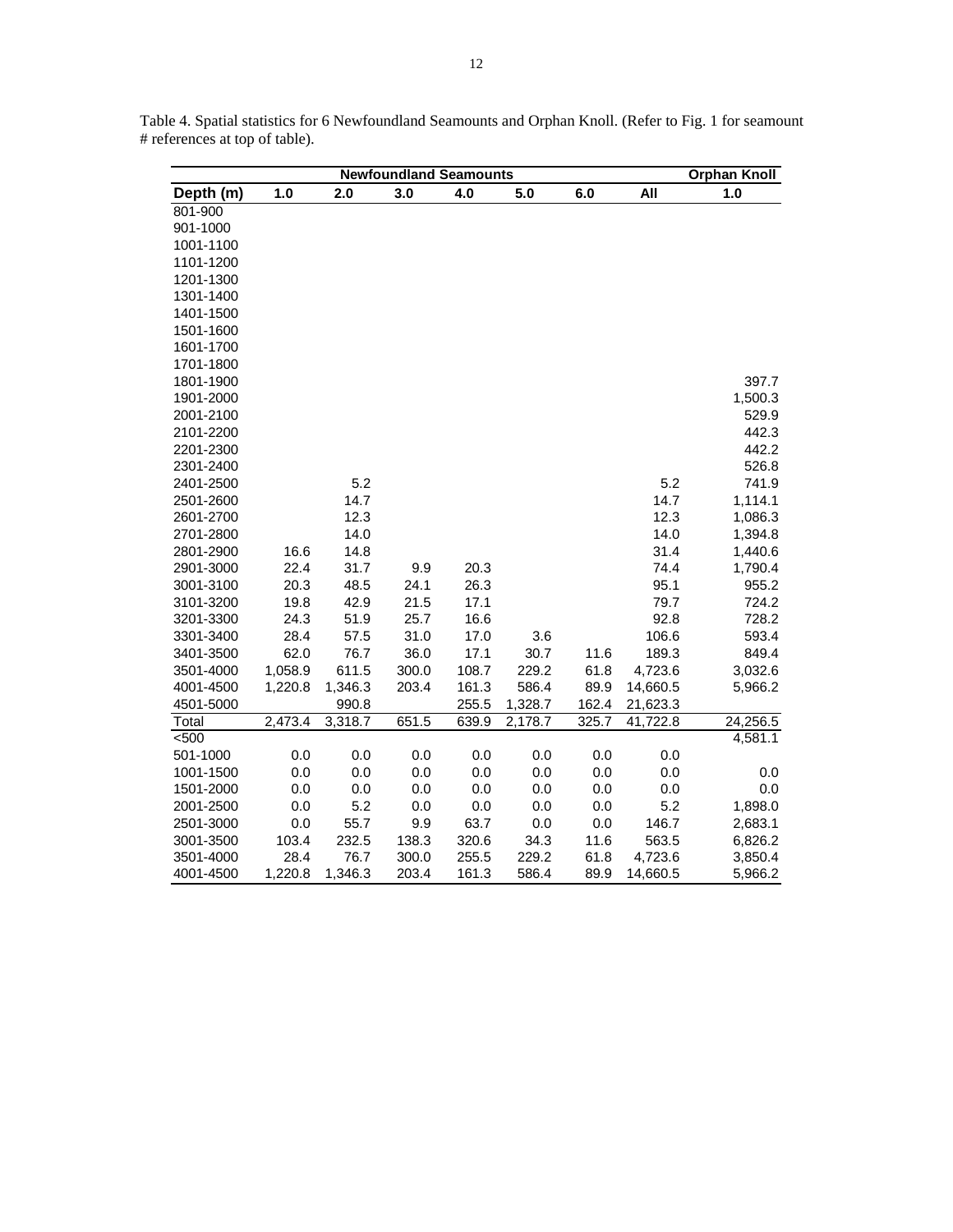|           | <b>Orphan Knoll</b> |         |       |       |         |       |          |          |
|-----------|---------------------|---------|-------|-------|---------|-------|----------|----------|
| Depth (m) | 1.0                 | 2.0     | 3.0   | 4.0   | 5.0     | 6.0   | All      | 1.0      |
| 801-900   |                     |         |       |       |         |       |          |          |
| 901-1000  |                     |         |       |       |         |       |          |          |
| 1001-1100 |                     |         |       |       |         |       |          |          |
| 1101-1200 |                     |         |       |       |         |       |          |          |
| 1201-1300 |                     |         |       |       |         |       |          |          |
| 1301-1400 |                     |         |       |       |         |       |          |          |
| 1401-1500 |                     |         |       |       |         |       |          |          |
| 1501-1600 |                     |         |       |       |         |       |          |          |
| 1601-1700 |                     |         |       |       |         |       |          |          |
| 1701-1800 |                     |         |       |       |         |       |          |          |
| 1801-1900 |                     |         |       |       |         |       |          | 397.7    |
| 1901-2000 |                     |         |       |       |         |       |          | 1,500.3  |
| 2001-2100 |                     |         |       |       |         |       |          | 529.9    |
| 2101-2200 |                     |         |       |       |         |       |          | 442.3    |
| 2201-2300 |                     |         |       |       |         |       |          | 442.2    |
| 2301-2400 |                     |         |       |       |         |       |          | 526.8    |
| 2401-2500 |                     | 5.2     |       |       |         |       | 5.2      | 741.9    |
| 2501-2600 |                     | 14.7    |       |       |         |       | 14.7     | 1,114.1  |
| 2601-2700 |                     | 12.3    |       |       |         |       | 12.3     | 1,086.3  |
| 2701-2800 |                     | 14.0    |       |       |         |       | 14.0     | 1,394.8  |
| 2801-2900 | 16.6                | 14.8    |       |       |         |       | 31.4     | 1,440.6  |
| 2901-3000 | 22.4                | 31.7    | 9.9   | 20.3  |         |       | 74.4     | 1,790.4  |
| 3001-3100 | 20.3                | 48.5    | 24.1  | 26.3  |         |       | 95.1     | 955.2    |
| 3101-3200 | 19.8                | 42.9    | 21.5  | 17.1  |         |       | 79.7     | 724.2    |
| 3201-3300 | 24.3                | 51.9    | 25.7  | 16.6  |         |       | 92.8     | 728.2    |
| 3301-3400 | 28.4                | 57.5    | 31.0  | 17.0  | 3.6     |       | 106.6    | 593.4    |
| 3401-3500 | 62.0                | 76.7    | 36.0  | 17.1  | 30.7    | 11.6  | 189.3    | 849.4    |
| 3501-4000 | 1,058.9             | 611.5   | 300.0 | 108.7 | 229.2   | 61.8  | 4,723.6  | 3,032.6  |
| 4001-4500 | 1,220.8             | 1,346.3 | 203.4 | 161.3 | 586.4   | 89.9  | 14,660.5 | 5,966.2  |
| 4501-5000 |                     | 990.8   |       | 255.5 | 1,328.7 | 162.4 | 21,623.3 |          |
| Total     | 2,473.4             | 3,318.7 | 651.5 | 639.9 | 2,178.7 | 325.7 | 41,722.8 | 24,256.5 |
| < 500     |                     |         |       |       |         |       |          | 4,581.1  |
| 501-1000  | 0.0                 | 0.0     | 0.0   | 0.0   | 0.0     | 0.0   | 0.0      |          |
| 1001-1500 | 0.0                 | 0.0     | 0.0   | 0.0   | 0.0     | 0.0   | 0.0      | 0.0      |
| 1501-2000 | 0.0                 | 0.0     | 0.0   | 0.0   | 0.0     | 0.0   | 0.0      | 0.0      |
| 2001-2500 | 0.0                 | 5.2     | 0.0   | 0.0   | 0.0     | 0.0   | 5.2      | 1,898.0  |
| 2501-3000 | 0.0                 | 55.7    | 9.9   | 63.7  | 0.0     | 0.0   | 146.7    | 2,683.1  |
| 3001-3500 | 103.4               | 232.5   | 138.3 | 320.6 | 34.3    | 11.6  | 563.5    | 6,826.2  |
| 3501-4000 | 28.4                | 76.7    | 300.0 | 255.5 | 229.2   | 61.8  | 4,723.6  | 3,850.4  |
| 4001-4500 | 1,220.8             | 1,346.3 | 203.4 | 161.3 | 586.4   | 89.9  | 14,660.5 | 5,966.2  |

Table 4. Spatial statistics for 6 Newfoundland Seamounts and Orphan Knoll. (Refer to Fig. 1 for seamount # references at top of table).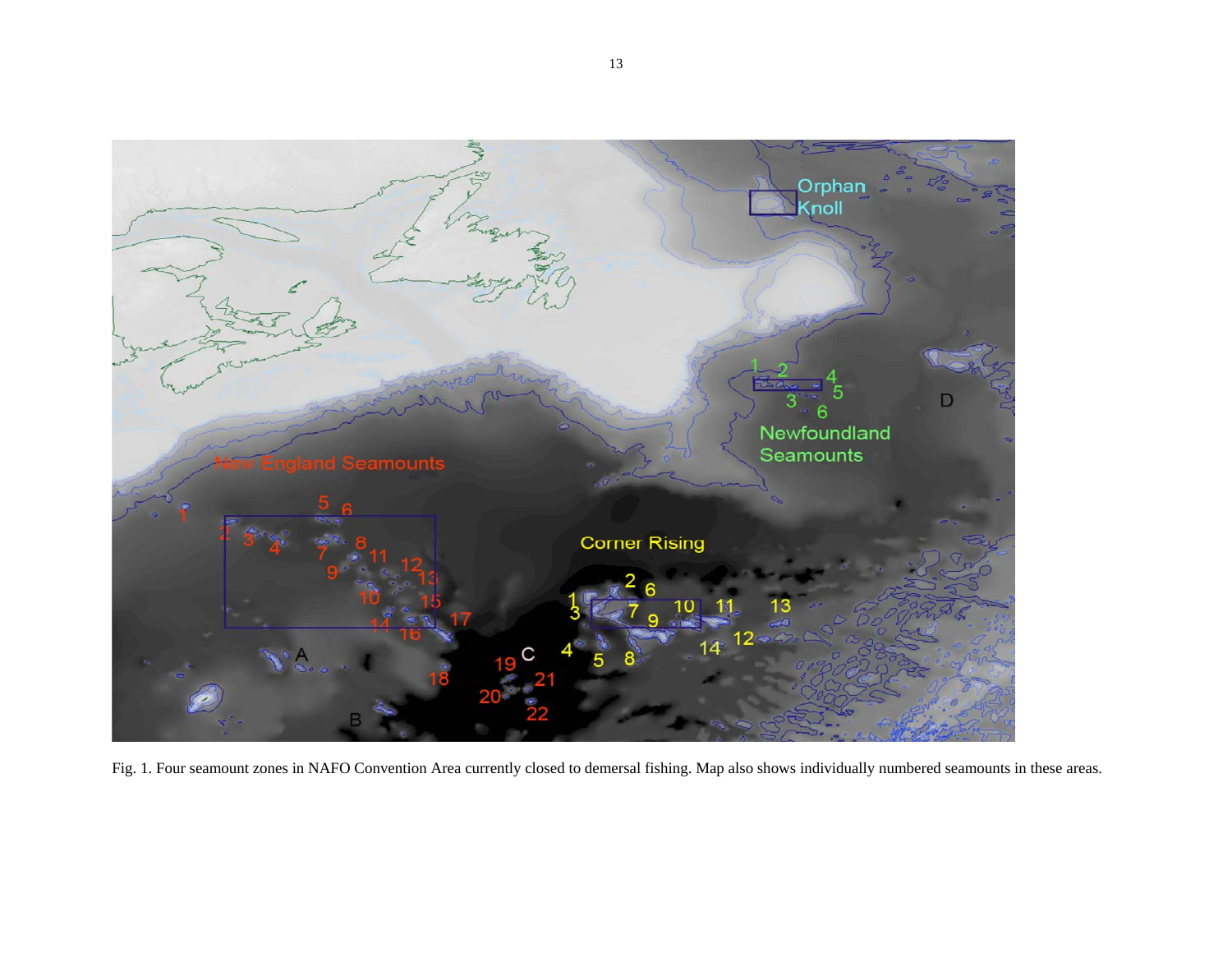

Fig. 1. Four seamount zones in NAFO Convention Area currently closed to demersal fishing. Map also shows individually numbered seamounts in these areas.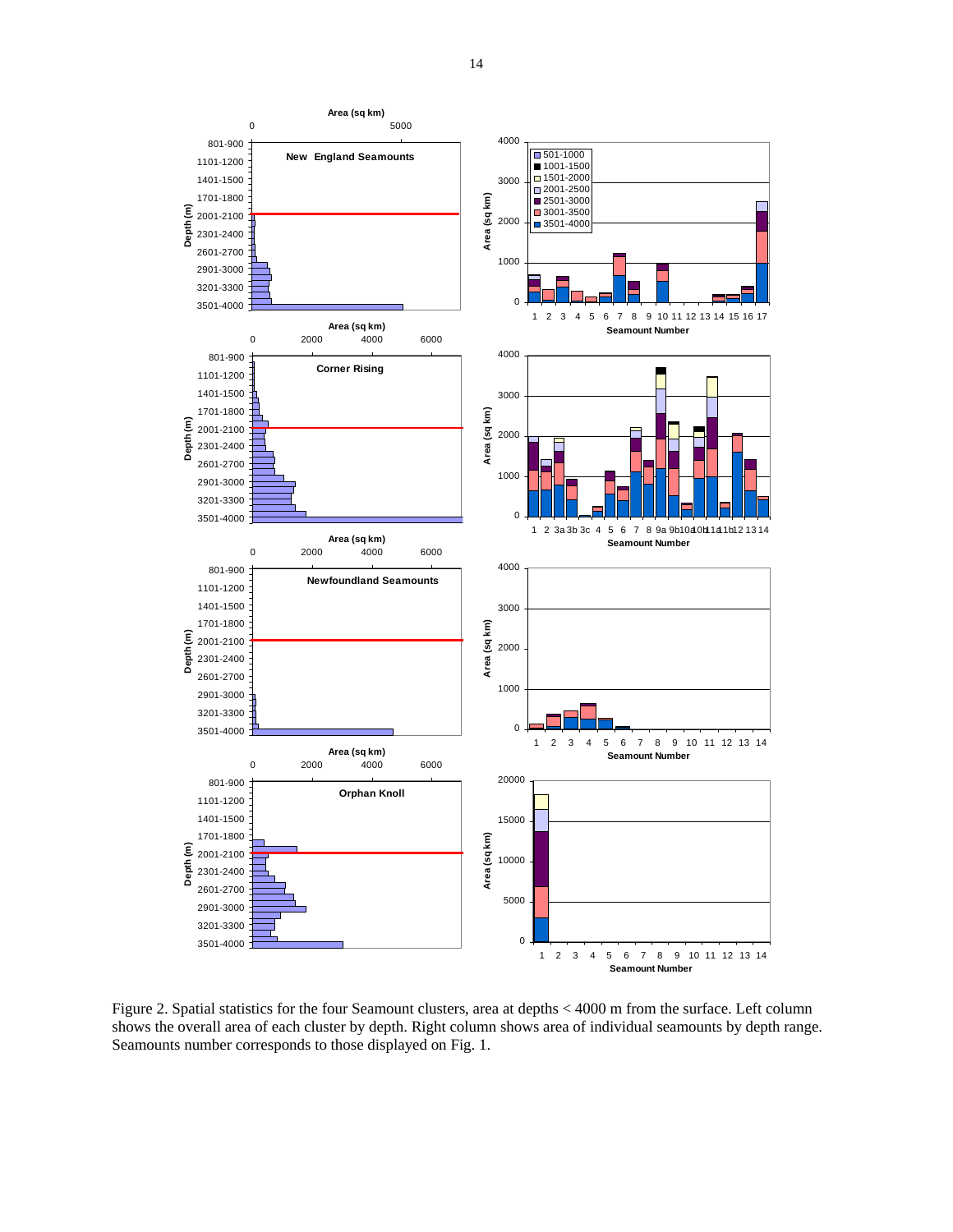

Figure 2. Spatial statistics for the four Seamount clusters, area at depths < 4000 m from the surface. Left column shows the overall area of each cluster by depth. Right column shows area of individual seamounts by depth range. Seamounts number corresponds to those displayed on Fig. 1.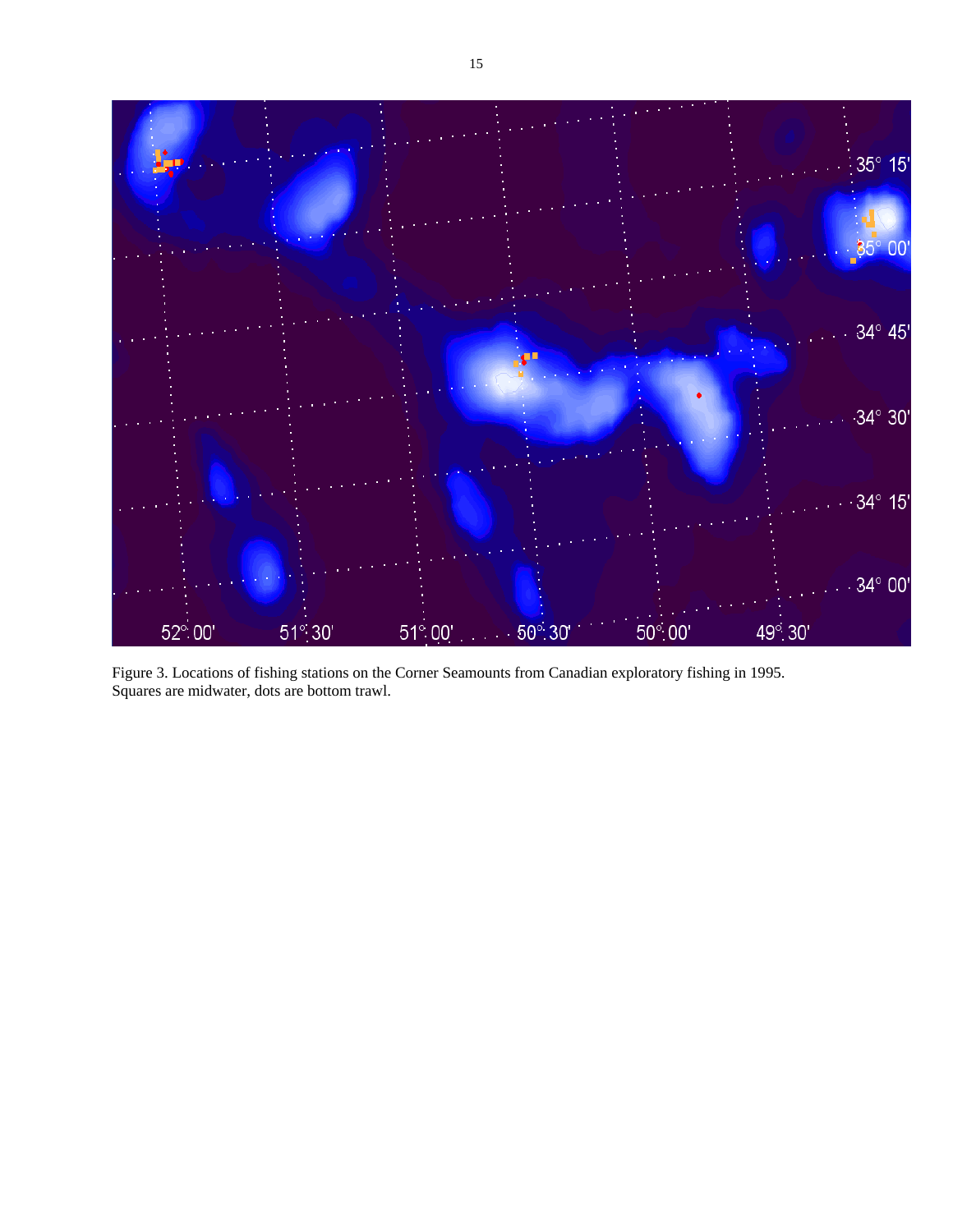

Figure 3. Locations of fishing stations on the Corner Seamounts from Canadian exploratory fishing in 1995. Squares are midwater, dots are bottom trawl.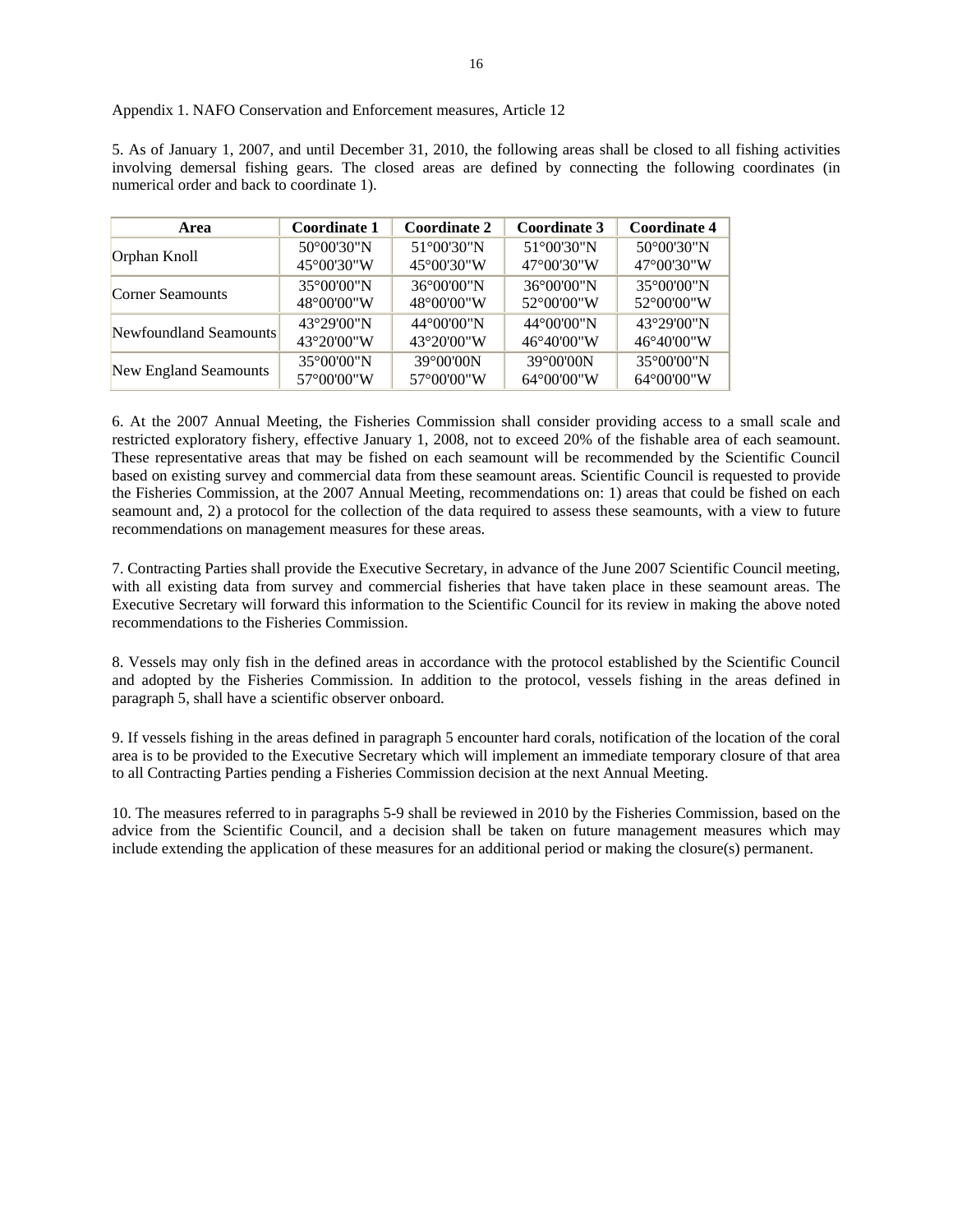| Appendix 1. NAFO Conservation and Enforcement measures, Article 12 |  |  |
|--------------------------------------------------------------------|--|--|
|--------------------------------------------------------------------|--|--|

5. As of January 1, 2007, and until December 31, 2010, the following areas shall be closed to all fishing activities involving demersal fishing gears. The closed areas are defined by connecting the following coordinates (in numerical order and back to coordinate 1).

| Area                   | Coordinate 1 | <b>Coordinate 2</b>   | Coordinate 3          | <b>Coordinate 4</b>   |
|------------------------|--------------|-----------------------|-----------------------|-----------------------|
| Orphan Knoll           | 50°00'30"N   | 51°00'30"N            | 51°00'30"N            | 50°00'30"N            |
|                        | 45°00'30"W   | 45°00'30"W            | 47°00'30"W            | 47°00'30"W            |
| Corner Seamounts       | 35°00'00"N   | 36°00'00"N            | $36^{\circ}00'00''$ N | 35°00'00"N            |
|                        | 48°00'00"W   | 48°00'00"W            | 52°00'00"W            | 52°00'00"W            |
| Newfoundland Seamounts | 43°29'00"N   | 44°00'00"N            | 44°00'00"N            | 43°29'00"N            |
|                        | 43°20'00"W   | $43^{\circ}20'00''$ W | 46°40'00"W            | 46°40'00"W            |
| New England Seamounts  | 35°00'00"N   | 39°00'00N             | 39°00'00N             | 35°00'00"N            |
|                        | 57°00'00"W   | 57°00'00"W            | 64°00'00"W            | $64^{\circ}00'00''$ W |

6. At the 2007 Annual Meeting, the Fisheries Commission shall consider providing access to a small scale and restricted exploratory fishery, effective January 1, 2008, not to exceed 20% of the fishable area of each seamount. These representative areas that may be fished on each seamount will be recommended by the Scientific Council based on existing survey and commercial data from these seamount areas. Scientific Council is requested to provide the Fisheries Commission, at the 2007 Annual Meeting, recommendations on: 1) areas that could be fished on each seamount and, 2) a protocol for the collection of the data required to assess these seamounts, with a view to future recommendations on management measures for these areas.

7. Contracting Parties shall provide the Executive Secretary, in advance of the June 2007 Scientific Council meeting, with all existing data from survey and commercial fisheries that have taken place in these seamount areas. The Executive Secretary will forward this information to the Scientific Council for its review in making the above noted recommendations to the Fisheries Commission.

8. Vessels may only fish in the defined areas in accordance with the protocol established by the Scientific Council and adopted by the Fisheries Commission. In addition to the protocol, vessels fishing in the areas defined in paragraph 5, shall have a scientific observer onboard.

9. If vessels fishing in the areas defined in paragraph 5 encounter hard corals, notification of the location of the coral area is to be provided to the Executive Secretary which will implement an immediate temporary closure of that area to all Contracting Parties pending a Fisheries Commission decision at the next Annual Meeting.

10. The measures referred to in paragraphs 5-9 shall be reviewed in 2010 by the Fisheries Commission, based on the advice from the Scientific Council, and a decision shall be taken on future management measures which may include extending the application of these measures for an additional period or making the closure(s) permanent.